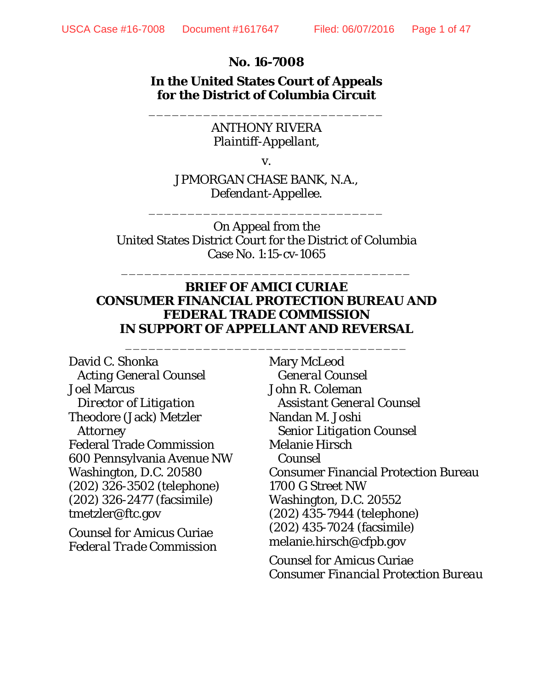## **No. 16-7008**

## **In the United States Court of Appeals for the District of Columbia Circuit**

\_\_\_\_\_\_\_\_\_\_\_\_\_\_\_\_\_\_\_\_\_\_\_\_\_\_\_\_\_\_

## ANTHONY RIVERA *Plaintiff-Appellant*,

v.

JPMORGAN CHASE BANK, N.A., *Defendant-Appellee*.

\_\_\_\_\_\_\_\_\_\_\_\_\_\_\_\_\_\_\_\_\_\_\_\_\_\_\_\_\_\_

On Appeal from the United States District Court for the District of Columbia Case No. 1:15-cv-1065

\_\_\_\_\_\_\_\_\_\_\_\_\_\_\_\_\_\_\_\_\_\_\_\_\_\_\_\_\_\_\_\_\_\_\_\_\_

## **BRIEF OF** *AMICI CURIAE* **CONSUMER FINANCIAL PROTECTION BUREAU AND FEDERAL TRADE COMMISSION IN SUPPORT OF APPELLANT AND REVERSAL**

\_\_\_\_\_\_\_\_\_\_\_\_\_\_\_\_\_\_\_\_\_\_\_\_\_\_\_\_\_\_\_\_\_\_\_\_

David C. Shonka  *Acting General Counsel* Joel Marcus  *Director of Litigation* Theodore (Jack) Metzler *Attorney* Federal Trade Commission 600 Pennsylvania Avenue NW Washington, D.C. 20580 (202) 326-3502 (telephone) (202) 326-2477 (facsimile) tmetzler@ftc.gov

<span id="page-0-0"></span>*Counsel for* Amicus Curiae *Federal Trade Commission* Mary McLeod *General Counsel* John R. Coleman *Assistant General Counsel* Nandan M. Joshi *Senior Litigation Counsel* Melanie Hirsch *Counsel* Consumer Financial Protection Bureau 1700 G Street NW Washington, D.C. 20552 (202) 435-7944 (telephone) (202) 435-7024 (facsimile) melanie.hirsch@cfpb.gov

*Counsel for* Amicus Curiae *Consumer Financial Protection Bureau*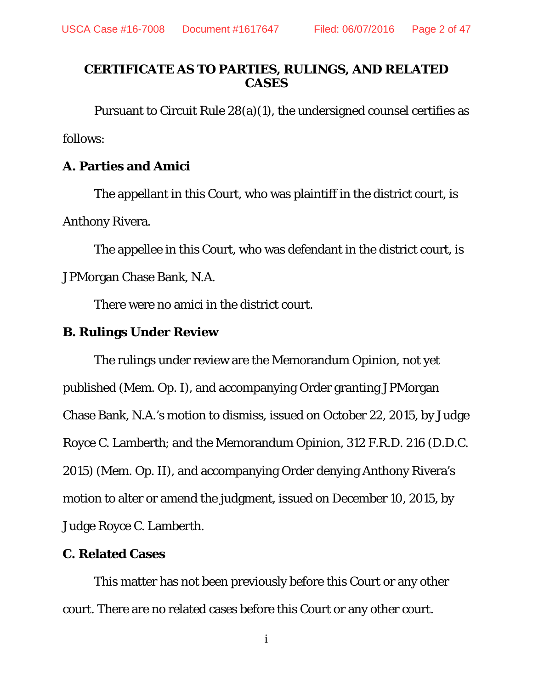# **CERTIFICATE AS TO PARTIES, RULINGS, AND RELATED CASES**

Pursuant to Circuit Rule 28(a)(1), the undersigned counsel certifies as follows:

# **A. Parties and Amici**

The appellant in this Court, who was plaintiff in the district court, is Anthony Rivera.

The appellee in this Court, who was defendant in the district court, is JPMorgan Chase Bank, N.A.

There were no amici in the district court.

## **B. Rulings Under Review**

The rulings under review are the Memorandum Opinion, not yet published (Mem. Op. I), and accompanying Order granting JPMorgan Chase Bank, N.A.'s motion to dismiss, issued on October 22, 2015, by Judge Royce C. Lamberth; and the Memorandum Opinion, 312 F.R.D. 216 (D.D.C. 2015) (Mem. Op. II), and accompanying Order denying Anthony Rivera's motion to alter or amend the judgment, issued on December 10, 2015, by Judge Royce C. Lamberth.

### **C. Related Cases**

This matter has not been previously before this Court or any other court. There are no related cases before this Court or any other court.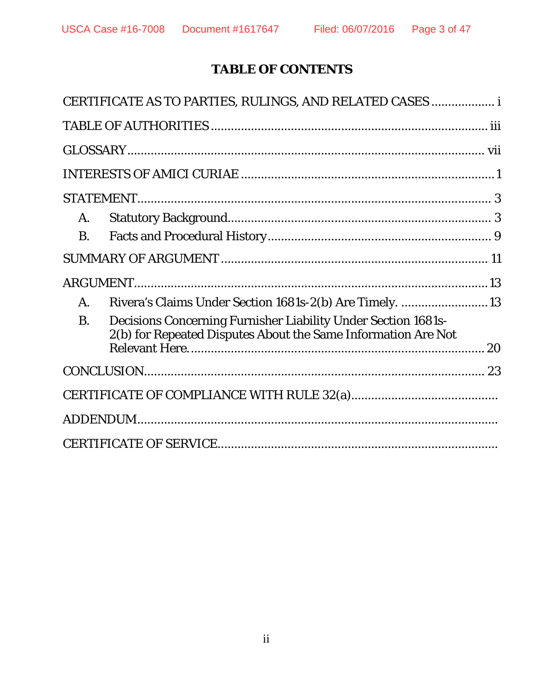# **TABLE OF CONTENTS**

|           | CERTIFICATE AS TO PARTIES, RULINGS, AND RELATED CASES  i                                                                              |  |
|-----------|---------------------------------------------------------------------------------------------------------------------------------------|--|
|           |                                                                                                                                       |  |
|           |                                                                                                                                       |  |
|           |                                                                                                                                       |  |
|           |                                                                                                                                       |  |
| A.        |                                                                                                                                       |  |
| <b>B.</b> |                                                                                                                                       |  |
|           |                                                                                                                                       |  |
|           |                                                                                                                                       |  |
| A.        | Rivera's Claims Under Section 1681s-2(b) Are Timely. 13                                                                               |  |
| <b>B.</b> | <b>Decisions Concerning Furnisher Liability Under Section 1681s-</b><br>2(b) for Repeated Disputes About the Same Information Are Not |  |
|           |                                                                                                                                       |  |
|           |                                                                                                                                       |  |
|           |                                                                                                                                       |  |
|           |                                                                                                                                       |  |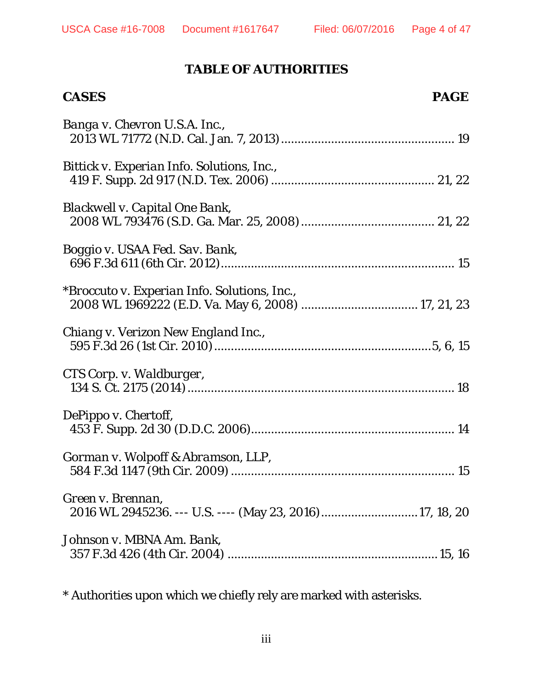# **TABLE OF AUTHORITIES**

## <span id="page-3-0"></span>**CASES PAGE**

| Banga v. Chevron U.S.A. Inc.,                                                                             |
|-----------------------------------------------------------------------------------------------------------|
| Bittick v. Experian Info. Solutions, Inc.,                                                                |
| <b>Blackwell v. Capital One Bank,</b>                                                                     |
| Boggio v. USAA Fed. Sav. Bank,                                                                            |
| <i>*Broccuto v. Experian Info. Solutions, Inc.,</i><br>2008 WL 1969222 (E.D. Va. May 6, 2008)  17, 21, 23 |
| Chiang v. Verizon New England Inc.,                                                                       |
| CTS Corp. v. Waldburger,                                                                                  |
| DePippo v. Chertoff,                                                                                      |
| Gorman v. Wolpoff & Abramson, LLP,                                                                        |
| Green v. Brennan,<br>2016 WL 2945236. --- U.S. ---- (May 23, 2016)17, 18, 20                              |
| Johnson v. MBNA Am. Bank,                                                                                 |

\* Authorities upon which we chiefly rely are marked with asterisks.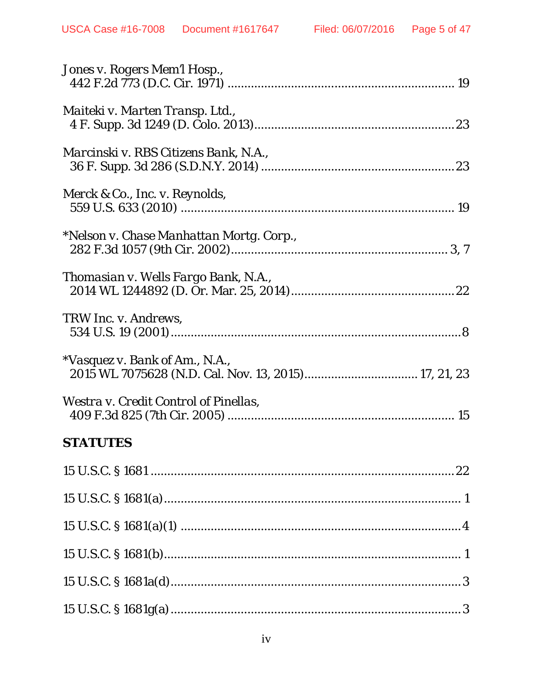| Jones v. Rogers Mem'l Hosp.,                                                                  |
|-----------------------------------------------------------------------------------------------|
| Maiteki v. Marten Transp. Ltd.,                                                               |
| Marcinski v. RBS Citizens Bank, N.A.,                                                         |
| Merck & Co., Inc. v. Reynolds,                                                                |
| *Nelson v. Chase Manhattan Mortg. Corp.,                                                      |
| Thomasian v. Wells Fargo Bank, N.A.,                                                          |
| TRW Inc. v. Andrews,                                                                          |
| <i>*Vasquez v. Bank of Am., N.A.,</i><br>2015 WL 7075628 (N.D. Cal. Nov. 13, 2015) 17, 21, 23 |
| Westra v. Credit Control of Pinellas,                                                         |
| <b>STATUTES</b>                                                                               |
|                                                                                               |
|                                                                                               |
| 15 U.S.C. $\frac{1681(a)(1) \dots (1681(b))}{(1)}$                                            |
|                                                                                               |
|                                                                                               |
|                                                                                               |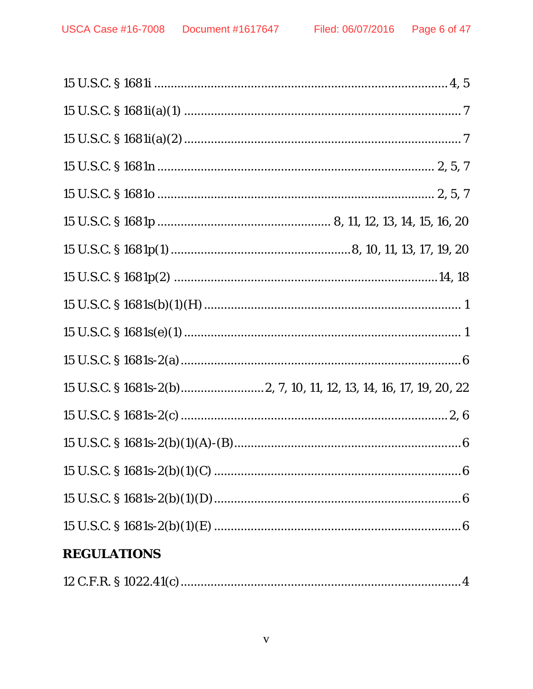| <b>REGULATIONS</b> |
|--------------------|

|--|--|--|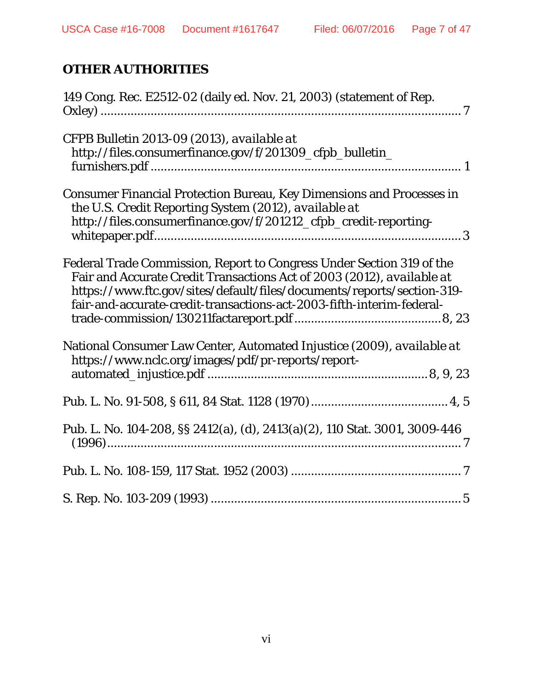# **OTHER AUTHORITIES**

| 149 Cong. Rec. E2512-02 (daily ed. Nov. 21, 2003) (statement of Rep.                                                                                                                                                                                                                               |
|----------------------------------------------------------------------------------------------------------------------------------------------------------------------------------------------------------------------------------------------------------------------------------------------------|
| CFPB Bulletin 2013-09 (2013), available at<br>http://files.consumerfinance.gov/f/201309_cfpb_bulletin_                                                                                                                                                                                             |
| <b>Consumer Financial Protection Bureau, Key Dimensions and Processes in</b><br>the U.S. Credit Reporting System (2012), available at<br>http://files.consumerfinance.gov/f/201212_cfpb_credit-reporting-                                                                                          |
| Federal Trade Commission, Report to Congress Under Section 319 of the<br>Fair and Accurate Credit Transactions Act of 2003 (2012), available at<br>https://www.ftc.gov/sites/default/files/documents/reports/section-319-<br>fair-and-accurate-credit-transactions-act-2003-fifth-interim-federal- |
| National Consumer Law Center, Automated Injustice (2009), available at<br>https://www.nclc.org/images/pdf/pr-reports/report-                                                                                                                                                                       |
|                                                                                                                                                                                                                                                                                                    |
| Pub. L. No. 104-208, §§ 2412(a), (d), 2413(a)(2), 110 Stat. 3001, 3009-446                                                                                                                                                                                                                         |
|                                                                                                                                                                                                                                                                                                    |
|                                                                                                                                                                                                                                                                                                    |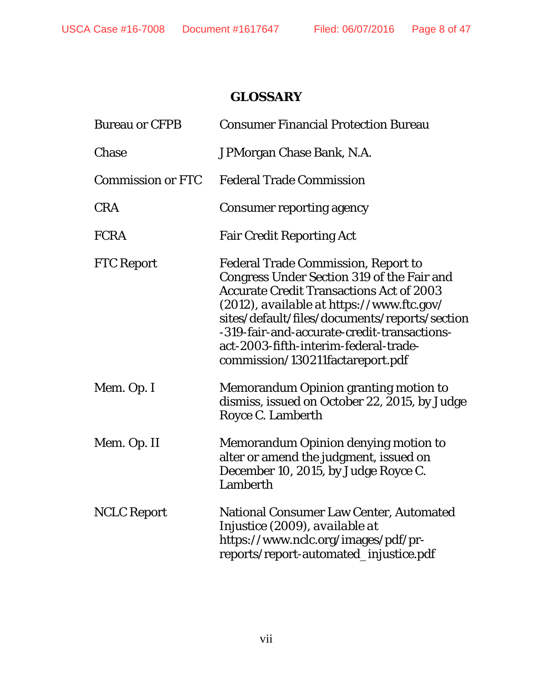# **GLOSSARY**

<span id="page-7-0"></span>

| <b>Bureau or CFPB</b>    | <b>Consumer Financial Protection Bureau</b>                                                                                                                                                                                                                                                                                                                                  |
|--------------------------|------------------------------------------------------------------------------------------------------------------------------------------------------------------------------------------------------------------------------------------------------------------------------------------------------------------------------------------------------------------------------|
| Chase                    | JPMorgan Chase Bank, N.A.                                                                                                                                                                                                                                                                                                                                                    |
| <b>Commission or FTC</b> | <b>Federal Trade Commission</b>                                                                                                                                                                                                                                                                                                                                              |
| <b>CRA</b>               | Consumer reporting agency                                                                                                                                                                                                                                                                                                                                                    |
| <b>FCRA</b>              | <b>Fair Credit Reporting Act</b>                                                                                                                                                                                                                                                                                                                                             |
| <b>FTC Report</b>        | <b>Federal Trade Commission, Report to</b><br><b>Congress Under Section 319 of the Fair and</b><br><b>Accurate Credit Transactions Act of 2003</b><br>(2012), available at https://www.ftc.gov/<br>sites/default/files/documents/reports/section<br>-319-fair-and-accurate-credit-transactions-<br>act-2003-fifth-interim-federal-trade-<br>commission/130211factareport.pdf |
| Mem. Op. I               | <b>Memorandum Opinion granting motion to</b><br>dismiss, issued on October 22, 2015, by Judge<br>Royce C. Lamberth                                                                                                                                                                                                                                                           |
| Mem. Op. II              | Memorandum Opinion denying motion to<br>alter or amend the judgment, issued on<br>December 10, 2015, by Judge Royce C.<br>Lamberth                                                                                                                                                                                                                                           |
| <b>NCLC</b> Report       | <b>National Consumer Law Center, Automated</b><br>Injustice (2009), available at<br>https://www.nclc.org/images/pdf/pr-<br>reports/report-automated_injustice.pdf                                                                                                                                                                                                            |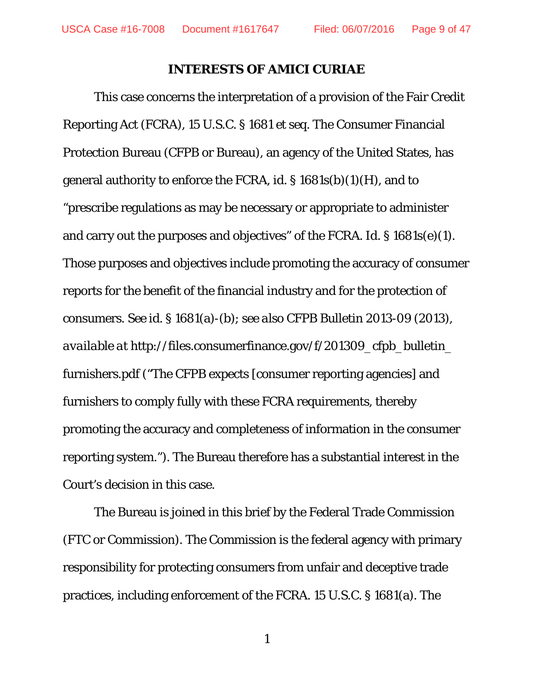#### **INTERESTS OF** *AMICI CURIAE*

<span id="page-8-0"></span>This case concerns the interpretation of a provision of the Fair Credit Reporting Act (FCRA), 15 U.S.C. § 1681 *et seq*. The Consumer Financial Protection Bureau (CFPB or Bureau), an agency of the United States, has general authority to enforce the FCRA, *id.* § 1681s(b)(1)(H), and to "prescribe regulations as may be necessary or appropriate to administer and carry out the purposes and objectives" of the FCRA. *Id.* § 1681s(e)(1). Those purposes and objectives include promoting the accuracy of consumer reports for the benefit of the financial industry and for the protection of consumers. *See id.* § 1681(a)-(b); *see also* CFPB Bulletin 2013-09 (2013), *available at* http://files.consumerfinance.gov/f/201309\_cfpb\_bulletin\_ furnishers.pdf ("The CFPB expects [consumer reporting agencies] and furnishers to comply fully with these FCRA requirements, thereby promoting the accuracy and completeness of information in the consumer reporting system."). The Bureau therefore has a substantial interest in the Court's decision in this case.

The Bureau is joined in this brief by the Federal Trade Commission (FTC or Commission). The Commission is the federal agency with primary responsibility for protecting consumers from unfair and deceptive trade practices, including enforcement of the FCRA. 15 U.S.C. § 1681(a). The

1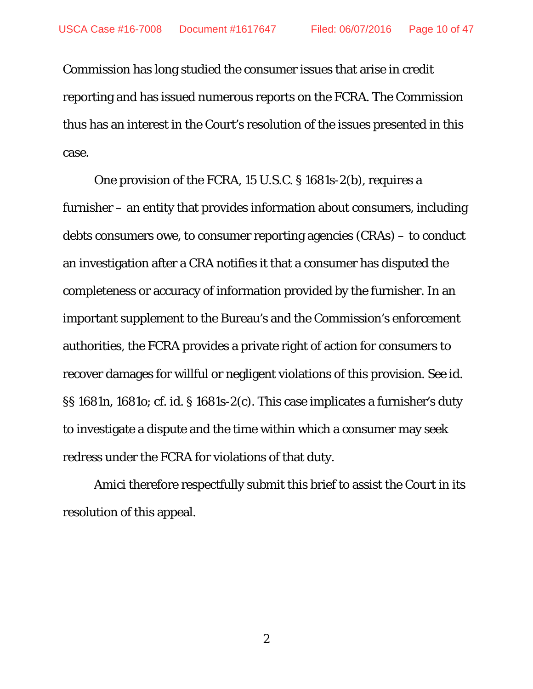Commission has long studied the consumer issues that arise in credit reporting and has issued numerous reports on the FCRA. The Commission thus has an interest in the Court's resolution of the issues presented in this case.

One provision of the FCRA, 15 U.S.C. § 1681s-2(b), requires a furnisher – an entity that provides information about consumers, including debts consumers owe, to consumer reporting agencies (CRAs) – to conduct an investigation after a CRA notifies it that a consumer has disputed the completeness or accuracy of information provided by the furnisher. In an important supplement to the Bureau's and the Commission's enforcement authorities, the FCRA provides a private right of action for consumers to recover damages for willful or negligent violations of this provision. *See id.*  §§ 1681n, 1681*o*; *cf. id.* § 1681s-2(c). This case implicates a furnisher's duty to investigate a dispute and the time within which a consumer may seek redress under the FCRA for violations of that duty.

*Amici* therefore respectfully submit this brief to assist the Court in its resolution of this appeal.

2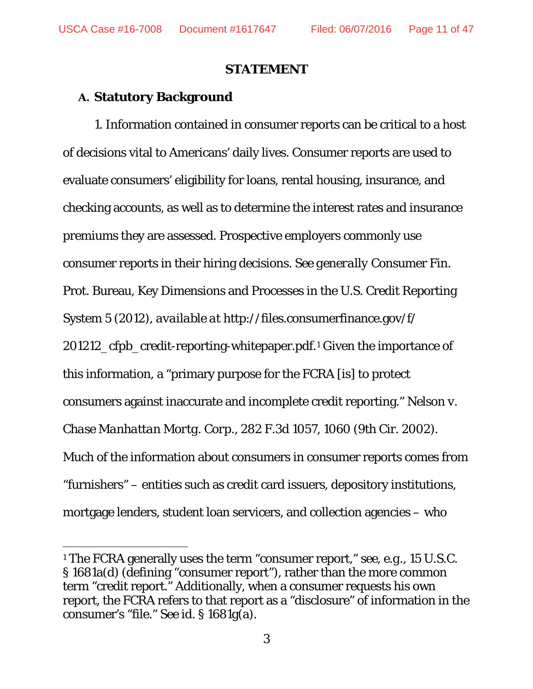$\overline{a}$ 

#### **STATEMENT**

#### <span id="page-10-1"></span><span id="page-10-0"></span>**A. Statutory Background**

1. Information contained in consumer reports can be critical to a host of decisions vital to Americans' daily lives. Consumer reports are used to evaluate consumers' eligibility for loans, rental housing, insurance, and checking accounts, as well as to determine the interest rates and insurance premiums they are assessed. Prospective employers commonly use consumer reports in their hiring decisions. *See generally* Consumer Fin. Prot. Bureau, Key Dimensions and Processes in the U.S. Credit Reporting System 5 (2012), *available at* http://files.consumerfinance.gov/f/ 201212\_cfpb\_credit-reporting-whitepaper.pdf.[1](#page-10-2) Given the importance of this information, a "primary purpose for the FCRA [is] to protect consumers against inaccurate and incomplete credit reporting." *Nelson v. Chase Manhattan Mortg. Corp.*, 282 F.3d 1057, 1060 (9th Cir. 2002). Much of the information about consumers in consumer reports comes from "furnishers" – entities such as credit card issuers, depository institutions, mortgage lenders, student loan servicers, and collection agencies – who

<span id="page-10-2"></span><sup>1</sup> The FCRA generally uses the term "consumer report," *see, e.g.*, 15 U.S.C. § 1681a(d) (defining "consumer report"), rather than the more common term "credit report." Additionally, when a consumer requests his own report, the FCRA refers to that report as a "disclosure" of information in the consumer's "file." *See id.* § 1681g(a).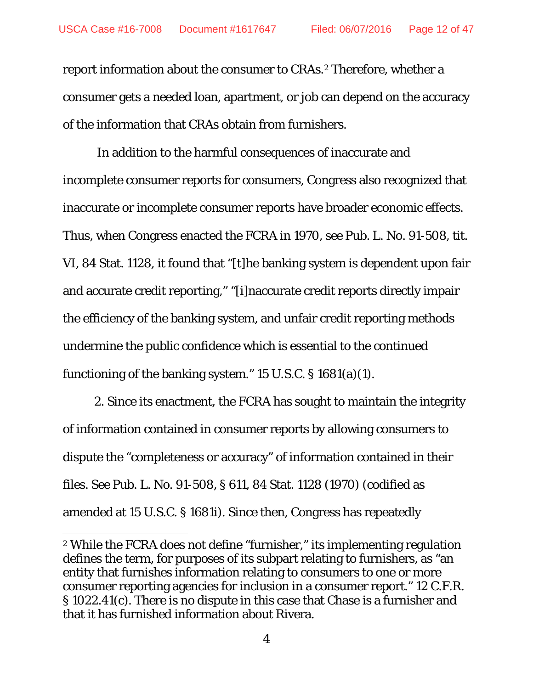report information about the consumer to CRAs.[2](#page-11-0) Therefore, whether a consumer gets a needed loan, apartment, or job can depend on the accuracy of the information that CRAs obtain from furnishers.

In addition to the harmful consequences of inaccurate and incomplete consumer reports for consumers, Congress also recognized that inaccurate or incomplete consumer reports have broader economic effects. Thus, when Congress enacted the FCRA in 1970, *see* Pub. L. No. 91-508, tit. VI, 84 Stat. 1128, it found that "[t]he banking system is dependent upon fair and accurate credit reporting," "[i]naccurate credit reports directly impair the efficiency of the banking system, and unfair credit reporting methods undermine the public confidence which is essential to the continued functioning of the banking system." 15 U.S.C. § 1681(a)(1).

2. Since its enactment, the FCRA has sought to maintain the integrity of information contained in consumer reports by allowing consumers to dispute the "completeness or accuracy" of information contained in their files. *See* Pub. L. No. 91-508, § 611, 84 Stat. 1128 (1970) (codified as amended at 15 U.S.C. § 1681i). Since then, Congress has repeatedly

 $\overline{a}$ 

<span id="page-11-0"></span><sup>2</sup> While the FCRA does not define "furnisher," its implementing regulation defines the term, for purposes of its subpart relating to furnishers, as "an entity that furnishes information relating to consumers to one or more consumer reporting agencies for inclusion in a consumer report." 12 C.F.R. § 1022.41(c). There is no dispute in this case that Chase is a furnisher and that it has furnished information about Rivera.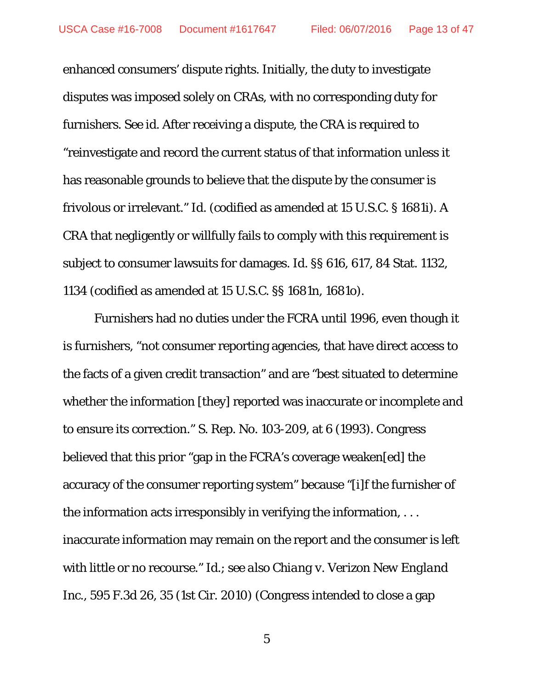enhanced consumers' dispute rights. Initially, the duty to investigate disputes was imposed solely on CRAs, with no corresponding duty for furnishers. *See id.* After receiving a dispute, the CRA is required to "reinvestigate and record the current status of that information unless it has reasonable grounds to believe that the dispute by the consumer is frivolous or irrelevant." *Id.* (codified as amended at 15 U.S.C. § 1681i). A CRA that negligently or willfully fails to comply with this requirement is subject to consumer lawsuits for damages. *Id*. §§ 616, 617, 84 Stat. 1132, 1134 (codified as amended at 15 U.S.C. §§ 1681n, 1681*o*).

Furnishers had no duties under the FCRA until 1996, even though it is furnishers, "not consumer reporting agencies, that have direct access to the facts of a given credit transaction" and are "best situated to determine whether the information [they] reported was inaccurate or incomplete and to ensure its correction." S. Rep. No. 103-209, at 6 (1993). Congress believed that this prior "gap in the FCRA's coverage weaken[ed] the accuracy of the consumer reporting system" because "[i]f the furnisher of the information acts irresponsibly in verifying the information, . . . inaccurate information may remain on the report and the consumer is left with little or no recourse." *Id.*; *see also Chiang v. Verizon New England Inc.*, 595 F.3d 26, 35 (1st Cir. 2010) (Congress intended to close a gap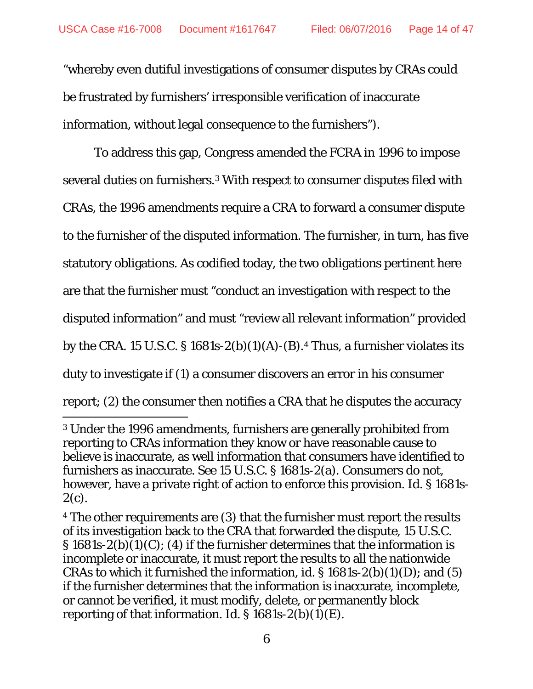"whereby even dutiful investigations of consumer disputes by CRAs could be frustrated by furnishers' irresponsible verification of inaccurate information, without legal consequence to the furnishers").

To address this gap, Congress amended the FCRA in 1996 to impose several duties on furnishers.[3](#page-13-0) With respect to consumer disputes filed with CRAs, the 1996 amendments require a CRA to forward a consumer dispute to the furnisher of the disputed information. The furnisher, in turn, has five statutory obligations. As codified today, the two obligations pertinent here are that the furnisher must "conduct an investigation with respect to the disputed information" and must "review all relevant information" provided by the CRA. 15 U.S.C.  $\S$  1681s-2(b)(1)(A)-(B).<sup>[4](#page-13-1)</sup> Thus, a furnisher violates its duty to investigate if (1) a consumer discovers an error in his consumer report; (2) the consumer then notifies a CRA that he disputes the accuracy

<span id="page-13-0"></span> $\overline{a}$ <sup>3</sup> Under the 1996 amendments, furnishers are generally prohibited from reporting to CRAs information they know or have reasonable cause to believe is inaccurate, as well information that consumers have identified to furnishers as inaccurate. *See* 15 U.S.C. § 1681s-2(a). Consumers do not, however, have a private right of action to enforce this provision. *Id.* § 1681s-2(c).

<span id="page-13-1"></span><sup>4</sup> The other requirements are (3) that the furnisher must report the results of its investigation back to the CRA that forwarded the dispute, 15 U.S.C.  $\S 1681s-2(b)(1)(C)$ ; (4) if the furnisher determines that the information is incomplete or inaccurate, it must report the results to all the nationwide CRAs to which it furnished the information, *id.* § 1681s-2(b)(1)(D); and (5) if the furnisher determines that the information is inaccurate, incomplete, or cannot be verified, it must modify, delete, or permanently block reporting of that information. *Id.* § 1681s-2(b)(1)(E).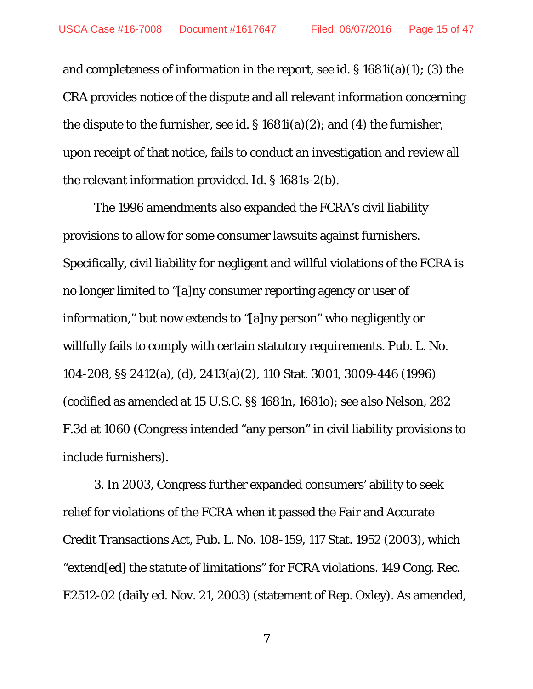and completeness of information in the report, *see id.* § 1681i(a)(1); (3) the CRA provides notice of the dispute and all relevant information concerning the dispute to the furnisher, *see id.* § 1681i(a)(2); and (4) the furnisher, upon receipt of that notice, fails to conduct an investigation and review all the relevant information provided. *Id.* § 1681s-2(b).

The 1996 amendments also expanded the FCRA's civil liability provisions to allow for some consumer lawsuits against furnishers. Specifically, civil liability for negligent and willful violations of the FCRA is no longer limited to "[a]ny consumer reporting agency or user of information," but now extends to "[a]ny person" who negligently or willfully fails to comply with certain statutory requirements. Pub. L. No. 104-208, §§ 2412(a), (d), 2413(a)(2), 110 Stat. 3001, 3009-446 (1996) (codified as amended at 15 U.S.C. §§ 1681n, 1681*o*); *see also Nelson*, 282 F.3d at 1060 (Congress intended "any person" in civil liability provisions to include furnishers).

3. In 2003, Congress further expanded consumers' ability to seek relief for violations of the FCRA when it passed the Fair and Accurate Credit Transactions Act, Pub. L. No. 108-159, 117 Stat. 1952 (2003), which "extend[ed] the statute of limitations" for FCRA violations. 149 Cong. Rec. E2512-02 (daily ed. Nov. 21, 2003) (statement of Rep. Oxley). As amended,

7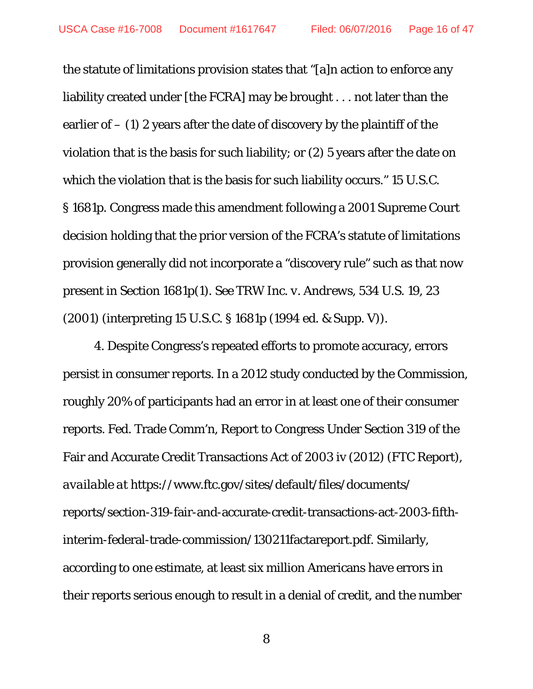the statute of limitations provision states that "[a]n action to enforce any liability created under [the FCRA] may be brought . . . not later than the earlier of  $-$  (1) 2 years after the date of discovery by the plaintiff of the violation that is the basis for such liability; or (2) 5 years after the date on which the violation that is the basis for such liability occurs." 15 U.S.C. § 1681p. Congress made this amendment following a 2001 Supreme Court decision holding that the prior version of the FCRA's statute of limitations provision generally did not incorporate a "discovery rule" such as that now present in Section 1681p(1). *See TRW Inc. v. Andrews*, 534 U.S. 19, 23 (2001) (interpreting 15 U.S.C. § 1681p (1994 ed. & Supp. V)).

4. Despite Congress's repeated efforts to promote accuracy, errors persist in consumer reports. In a 2012 study conducted by the Commission, roughly 20% of participants had an error in at least one of their consumer reports. Fed. Trade Comm'n, Report to Congress Under Section 319 of the Fair and Accurate Credit Transactions Act of 2003 iv (2012) (FTC Report), *available at* https://www.ftc.gov/sites/default/files/documents/ reports/section-319-fair-and-accurate-credit-transactions-act-2003-fifthinterim-federal-trade-commission/130211factareport.pdf. Similarly, according to one estimate, at least six million Americans have errors in their reports serious enough to result in a denial of credit, and the number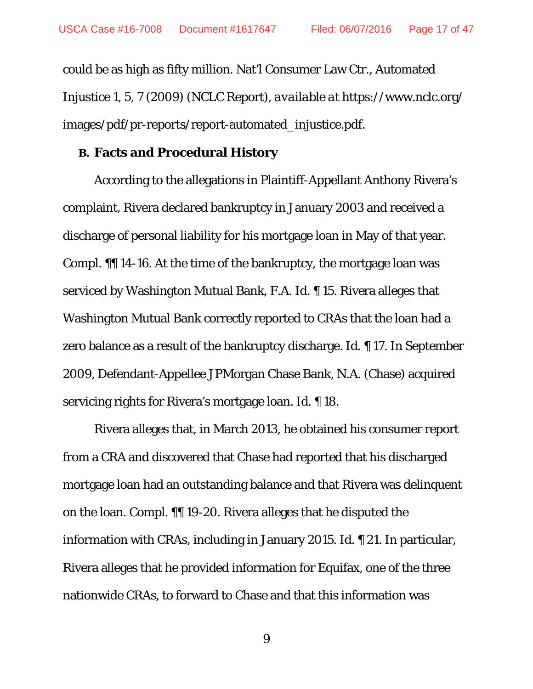could be as high as fifty million. Nat'l Consumer Law Ctr., Automated Injustice 1, 5, 7 (2009) (NCLC Report), *available at* https://www.nclc.org/ images/pdf/pr-reports/report-automated\_injustice.pdf.

#### <span id="page-16-0"></span>**B. Facts and Procedural History**

According to the allegations in Plaintiff-Appellant Anthony Rivera's complaint, Rivera declared bankruptcy in January 2003 and received a discharge of personal liability for his mortgage loan in May of that year. Compl. ¶¶ 14-16. At the time of the bankruptcy, the mortgage loan was serviced by Washington Mutual Bank, F.A. *Id.* ¶ 15. Rivera alleges that Washington Mutual Bank correctly reported to CRAs that the loan had a zero balance as a result of the bankruptcy discharge. *Id.* ¶ 17. In September 2009, Defendant-Appellee JPMorgan Chase Bank, N.A. (Chase) acquired servicing rights for Rivera's mortgage loan. *Id.* ¶ 18.

Rivera alleges that, in March 2013, he obtained his consumer report from a CRA and discovered that Chase had reported that his discharged mortgage loan had an outstanding balance and that Rivera was delinquent on the loan. Compl. ¶¶ 19-20. Rivera alleges that he disputed the information with CRAs, including in January 2015. *Id.* ¶ 21. In particular, Rivera alleges that he provided information for Equifax, one of the three nationwide CRAs, to forward to Chase and that this information was

9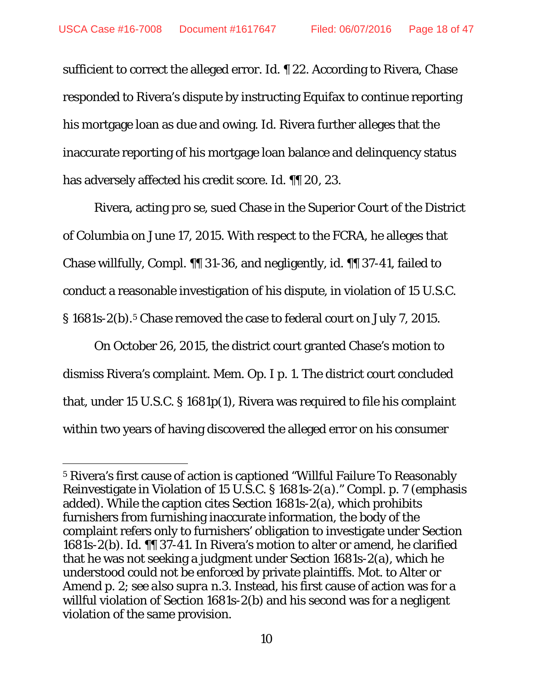$\overline{a}$ 

sufficient to correct the alleged error. *Id.* ¶ 22. According to Rivera, Chase responded to Rivera's dispute by instructing Equifax to continue reporting his mortgage loan as due and owing. *Id.* Rivera further alleges that the inaccurate reporting of his mortgage loan balance and delinquency status has adversely affected his credit score. *Id.* ¶¶ 20, 23.

Rivera, acting *pro se*, sued Chase in the Superior Court of the District of Columbia on June 17, 2015. With respect to the FCRA, he alleges that Chase willfully, Compl. ¶¶ 31-36, and negligently, *id.* ¶¶ 37-41, failed to conduct a reasonable investigation of his dispute, in violation of 15 U.S.C. § 1681s-2(b).<sup>[5](#page-17-0)</sup> Chase removed the case to federal court on July 7, 2015.

On October 26, 2015, the district court granted Chase's motion to dismiss Rivera's complaint. Mem. Op. I p. 1. The district court concluded that, under 15 U.S.C. § 1681p(1), Rivera was required to file his complaint within two years of having discovered the alleged error on his consumer

<span id="page-17-0"></span><sup>5</sup> Rivera's first cause of action is captioned "Willful Failure To Reasonably Reinvestigate in Violation of 15 U.S.C. *§ 1681s-2(a)*." Compl. p. 7 (emphasis added). While the caption cites Section 1681s-2(a), which prohibits furnishers from furnishing inaccurate information, the body of the complaint refers only to furnishers' obligation to investigate under Section 1681s-2(b). *Id.* ¶¶ 37-41. In Rivera's motion to alter or amend, he clarified that he was not seeking a judgment under Section 1681s-2(a), which he understood could not be enforced by private plaintiffs. Mot. to Alter or Amend p. 2; *see also supra* n.3. Instead, his first cause of action was for a willful violation of Section 1681s-2(b) and his second was for a negligent violation of the same provision.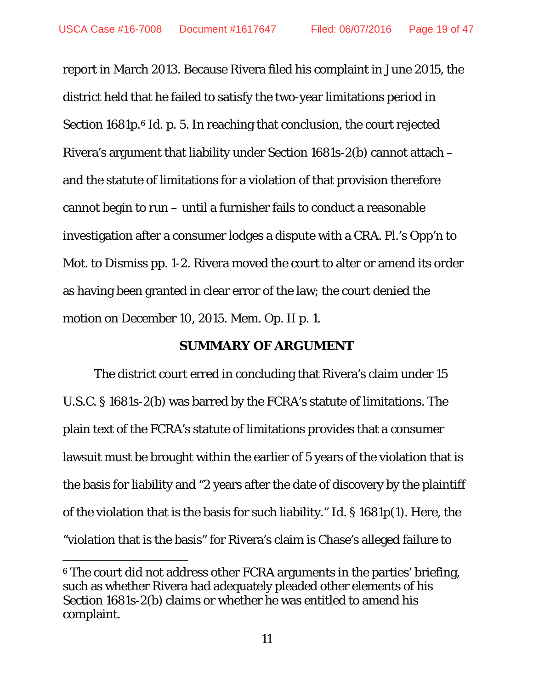report in March 2013. Because Rivera filed his complaint in June 2015, the district held that he failed to satisfy the two-year limitations period in Section 1681p.[6](#page-18-1) *Id.* p. 5. In reaching that conclusion, the court rejected Rivera's argument that liability under Section 1681s-2(b) cannot attach – and the statute of limitations for a violation of that provision therefore cannot begin to run – until a furnisher fails to conduct a reasonable investigation after a consumer lodges a dispute with a CRA. Pl.'s Opp'n to Mot. to Dismiss pp. 1-2. Rivera moved the court to alter or amend its order as having been granted in clear error of the law; the court denied the motion on December 10, 2015. Mem. Op. II p. 1.

#### **SUMMARY OF ARGUMENT**

<span id="page-18-0"></span>The district court erred in concluding that Rivera's claim under 15 U.S.C. § 1681s-2(b) was barred by the FCRA's statute of limitations. The plain text of the FCRA's statute of limitations provides that a consumer lawsuit must be brought within the earlier of 5 years of the violation that is the basis for liability and "2 years after the date of discovery by the plaintiff of the violation that is the basis for such liability." *Id.* § 1681p(1). Here, the "violation that is the basis" for Rivera's claim is Chase's alleged failure to

 $\overline{a}$ 

<span id="page-18-1"></span><sup>&</sup>lt;sup>6</sup> The court did not address other FCRA arguments in the parties' briefing, such as whether Rivera had adequately pleaded other elements of his Section 1681s-2(b) claims or whether he was entitled to amend his complaint.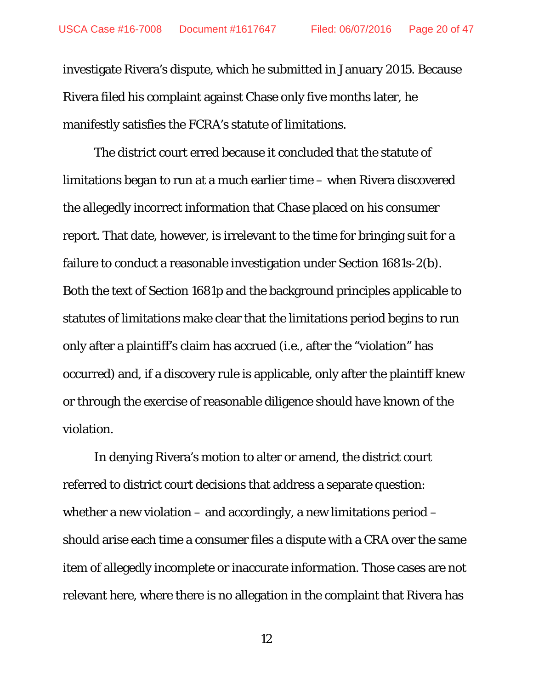investigate Rivera's dispute, which he submitted in January 2015. Because Rivera filed his complaint against Chase only five months later, he manifestly satisfies the FCRA's statute of limitations.

The district court erred because it concluded that the statute of limitations began to run at a much earlier time – when Rivera discovered the allegedly incorrect information that Chase placed on his consumer report. That date, however, is irrelevant to the time for bringing suit for a failure to conduct a reasonable investigation under Section 1681s-2(b). Both the text of Section 1681p and the background principles applicable to statutes of limitations make clear that the limitations period begins to run only after a plaintiff's claim has accrued (*i.e.*, after the "violation" has occurred) and, if a discovery rule is applicable, only after the plaintiff knew or through the exercise of reasonable diligence should have known of the violation.

In denying Rivera's motion to alter or amend, the district court referred to district court decisions that address a separate question: whether a new violation – and accordingly, a new limitations period – should arise each time a consumer files a dispute with a CRA over the same item of allegedly incomplete or inaccurate information. Those cases are not relevant here, where there is no allegation in the complaint that Rivera has

12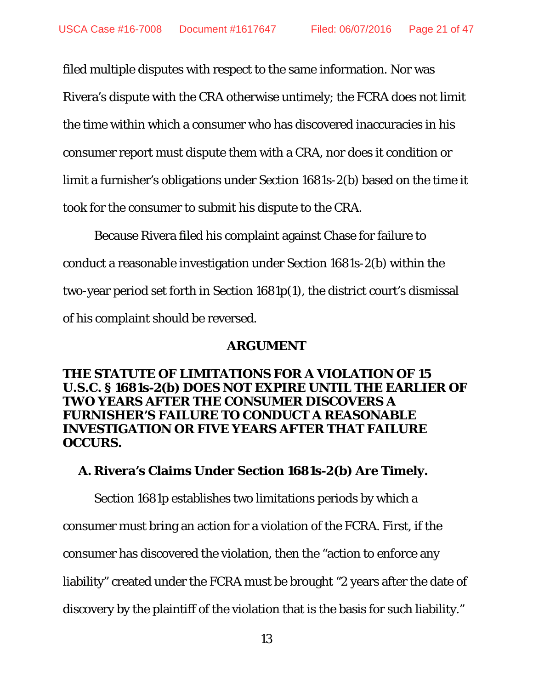filed multiple disputes with respect to the same information. Nor was Rivera's dispute with the CRA otherwise untimely; the FCRA does not limit the time within which a consumer who has discovered inaccuracies in his consumer report must dispute them with a CRA, nor does it condition or limit a furnisher's obligations under Section 1681s-2(b) based on the time it took for the consumer to submit his dispute to the CRA.

Because Rivera filed his complaint against Chase for failure to conduct a reasonable investigation under Section 1681s-2(b) within the two-year period set forth in Section 1681p(1), the district court's dismissal of his complaint should be reversed.

### **ARGUMENT**

# <span id="page-20-0"></span>**THE STATUTE OF LIMITATIONS FOR A VIOLATION OF 15 U.S.C. § 1681s-2(b) DOES NOT EXPIRE UNTIL THE EARLIER OF TWO YEARS AFTER THE CONSUMER DISCOVERS A FURNISHER'S FAILURE TO CONDUCT A REASONABLE INVESTIGATION OR FIVE YEARS AFTER THAT FAILURE OCCURS.**

### <span id="page-20-1"></span>**A. Rivera's Claims Under Section 1681s-2(b) Are Timely.**

Section 1681p establishes two limitations periods by which a consumer must bring an action for a violation of the FCRA. First, if the consumer has discovered the violation, then the "action to enforce any liability" created under the FCRA must be brought "2 years after the date of discovery by the plaintiff of the violation that is the basis for such liability."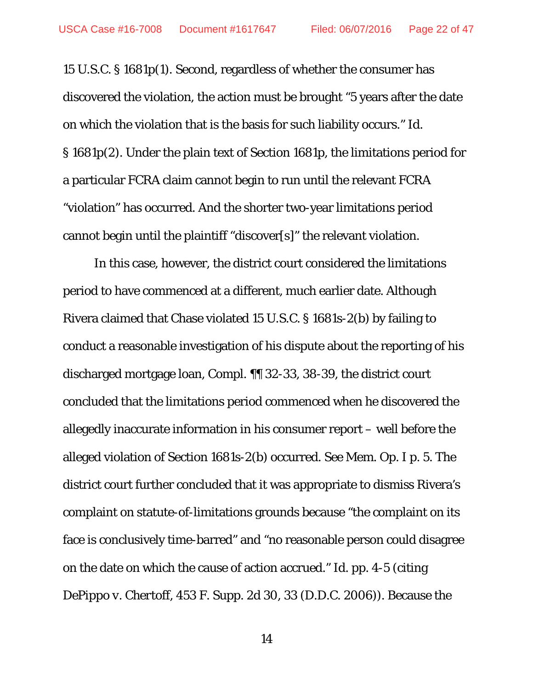15 U.S.C. § 1681p(1). Second, regardless of whether the consumer has discovered the violation, the action must be brought "5 years after the date on which the violation that is the basis for such liability occurs." *Id.* § 1681p(2). Under the plain text of Section 1681p, the limitations period for a particular FCRA claim cannot begin to run until the relevant FCRA "violation" has occurred. And the shorter two-year limitations period cannot begin until the plaintiff "discover[s]" the relevant violation.

In this case, however, the district court considered the limitations period to have commenced at a different, much earlier date. Although Rivera claimed that Chase violated 15 U.S.C. § 1681s-2(b) by failing to conduct a reasonable investigation of his dispute about the reporting of his discharged mortgage loan, Compl. ¶¶ 32-33, 38-39, the district court concluded that the limitations period commenced when he discovered the allegedly inaccurate information in his consumer report – well before the alleged violation of Section 1681s-2(b) occurred. *See* Mem. Op. I p. 5. The district court further concluded that it was appropriate to dismiss Rivera's complaint on statute-of-limitations grounds because "the complaint on its face is conclusively time-barred" and "no reasonable person could disagree on the date on which the cause of action accrued." *Id.* pp. 4-5 (citing *DePippo v. Chertoff*, 453 F. Supp. 2d 30, 33 (D.D.C. 2006)). Because the

14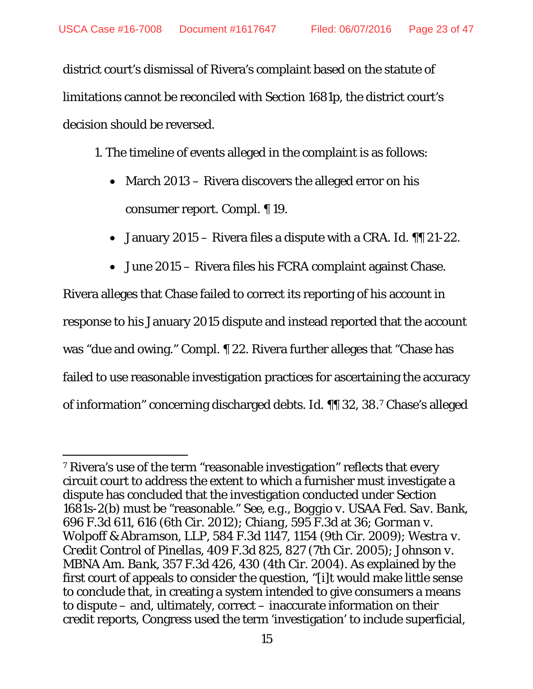district court's dismissal of Rivera's complaint based on the statute of limitations cannot be reconciled with Section 1681p, the district court's decision should be reversed.

1. The timeline of events alleged in the complaint is as follows:

- March 2013 Rivera discovers the alleged error on his consumer report. Compl. ¶ 19.
- January 2015 Rivera files a dispute with a CRA. *Id.* ¶¶ 21-22.
- June 2015 Rivera files his FCRA complaint against Chase.

Rivera alleges that Chase failed to correct its reporting of his account in response to his January 2015 dispute and instead reported that the account was "due and owing." Compl. ¶ 22. Rivera further alleges that "Chase has failed to use reasonable investigation practices for ascertaining the accuracy of information" concerning discharged debts. *Id*. ¶¶ 32, 38.[7](#page-22-0) Chase's alleged

<span id="page-22-0"></span> $\overline{a}$ <sup>7</sup> Rivera's use of the term "reasonable investigation" reflects that every circuit court to address the extent to which a furnisher must investigate a dispute has concluded that the investigation conducted under Section 1681s-2(b) must be "reasonable." *See, e.g.*, *Boggio v. USAA Fed. Sav. Bank*, 696 F.3d 611, 616 (6th Cir. 2012); *Chiang*, 595 F.3d at 36; *Gorman v. Wolpoff & Abramson, LLP*, 584 F.3d 1147, 1154 (9th Cir. 2009); *Westra v. Credit Control of Pinellas*, 409 F.3d 825, 827 (7th Cir. 2005); *Johnson v. MBNA Am. Bank*, 357 F.3d 426, 430 (4th Cir. 2004). As explained by the first court of appeals to consider the question, "[i]t would make little sense to conclude that, in creating a system intended to give consumers a means to dispute – and, ultimately, correct – inaccurate information on their credit reports, Congress used the term 'investigation' to include superficial,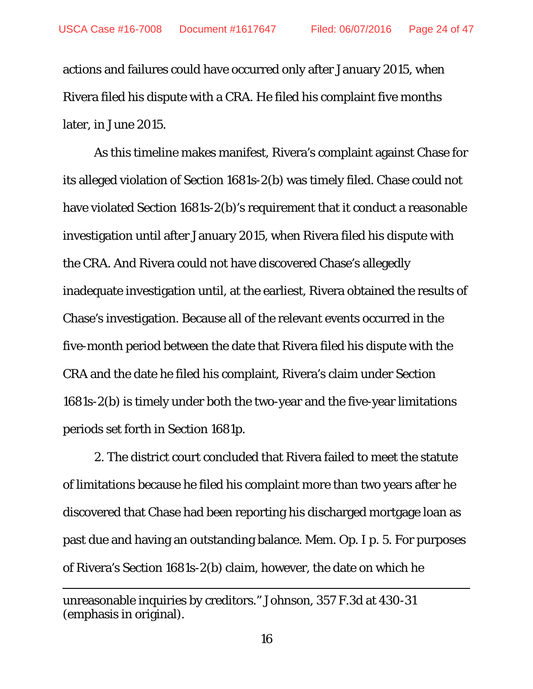actions and failures could have occurred only after January 2015, when Rivera filed his dispute with a CRA. He filed his complaint five months later, in June 2015.

As this timeline makes manifest, Rivera's complaint against Chase for its alleged violation of Section 1681s-2(b) was timely filed. Chase could not have violated Section 1681s-2(b)'s requirement that it conduct a reasonable investigation until after January 2015, when Rivera filed his dispute with the CRA. And Rivera could not have discovered Chase's allegedly inadequate investigation until, at the earliest, Rivera obtained the results of Chase's investigation. Because all of the relevant events occurred in the five-month period between the date that Rivera filed his dispute with the CRA and the date he filed his complaint, Rivera's claim under Section 1681s-2(b) is timely under both the two-year and the five-year limitations periods set forth in Section 1681p.

2. The district court concluded that Rivera failed to meet the statute of limitations because he filed his complaint more than two years after he discovered that Chase had been reporting his discharged mortgage loan as past due and having an outstanding balance. Mem. Op. I p. 5. For purposes of Rivera's Section 1681s-2(b) claim, however, the date on which he

 $\overline{a}$ 

*un*reasonable inquiries by creditors." *Johnson*, 357 F.3d at 430-31 (emphasis in original).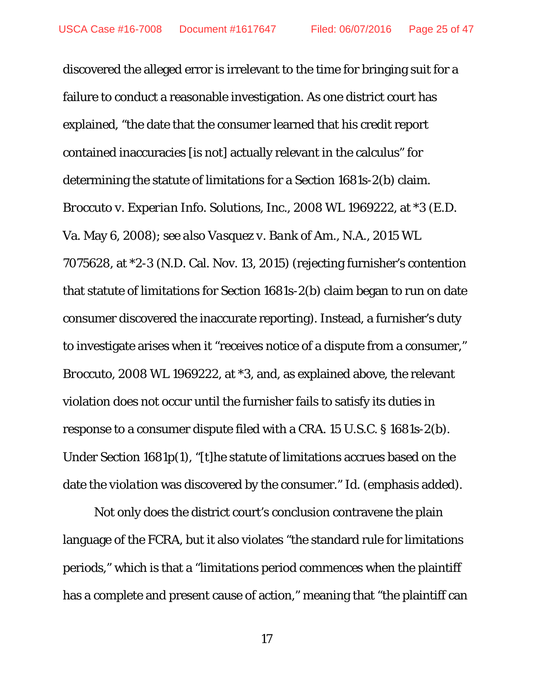discovered the alleged error is irrelevant to the time for bringing suit for a failure to conduct a reasonable investigation. As one district court has explained, "the date that the consumer learned that his credit report contained inaccuracies [is not] actually relevant in the calculus" for determining the statute of limitations for a Section 1681s-2(b) claim. *Broccuto v. Experian Info. Solutions, Inc.*, 2008 WL 1969222, at \*3 (E.D. Va. May 6, 2008); *see also Vasquez v. Bank of Am., N.A.*, 2015 WL 7075628, at \*2-3 (N.D. Cal. Nov. 13, 2015) (rejecting furnisher's contention that statute of limitations for Section 1681s-2(b) claim began to run on date consumer discovered the inaccurate reporting). Instead, a furnisher's duty to investigate arises when it "receives notice of a dispute from a consumer," *Broccuto*, 2008 WL 1969222, at \*3, and, as explained above, the relevant violation does not occur until the furnisher fails to satisfy its duties in response to a consumer dispute filed with a CRA. 15 U.S.C. § 1681s-2(b). Under Section 1681p(1), "[t]he statute of limitations accrues based on the date the *violation* was discovered by the consumer." *Id.* (emphasis added).

Not only does the district court's conclusion contravene the plain language of the FCRA, but it also violates "the standard rule for limitations periods," which is that a "limitations period commences when the plaintiff has a complete and present cause of action," meaning that "the plaintiff can

17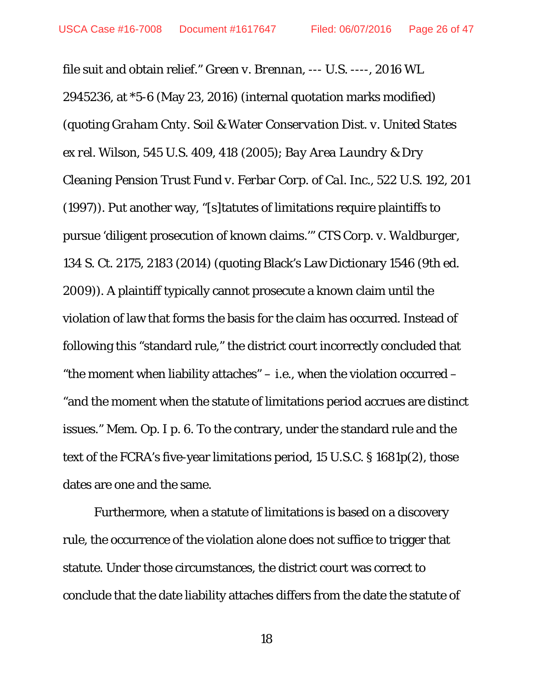file suit and obtain relief." *Green v. Brennan*, --- U.S. ----, 2016 WL 2945236, at \*5-6 (May 23, 2016) (internal quotation marks modified) (quoting *Graham Cnty. Soil & Water Conservation Dist. v. United States ex rel. Wilson*, 545 U.S. 409, 418 (2005); *Bay Area Laundry & Dry Cleaning Pension Trust Fund v. Ferbar Corp. of Cal. Inc.*, 522 U.S. 192, 201 (1997)). Put another way, "[s]tatutes of limitations require plaintiffs to pursue 'diligent prosecution of known claims.'" *CTS Corp. v. Waldburger*, 134 S. Ct. 2175, 2183 (2014) (quoting Black's Law Dictionary 1546 (9th ed. 2009)). A plaintiff typically cannot prosecute a known claim until the violation of law that forms the basis for the claim has occurred. Instead of following this "standard rule," the district court incorrectly concluded that "the moment when liability attaches" – *i.e.*, when the violation occurred – "and the moment when the statute of limitations period accrues are distinct issues." Mem. Op. I p. 6. To the contrary, under the standard rule and the text of the FCRA's five-year limitations period, 15 U.S.C. § 1681p(2), those dates are one and the same.

Furthermore, when a statute of limitations is based on a discovery rule, the occurrence of the violation alone does not suffice to trigger that statute. Under those circumstances, the district court was correct to conclude that the date liability attaches differs from the date the statute of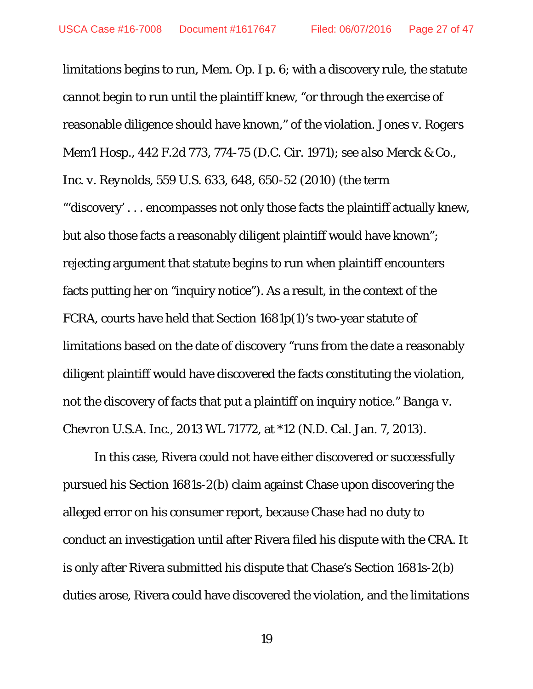limitations begins to run, Mem. Op. I p. 6; with a discovery rule, the statute cannot begin to run until the plaintiff knew, "or through the exercise of reasonable diligence should have known," of the violation. *Jones v. Rogers Mem'l Hosp.*, 442 F.2d 773, 774-75 (D.C. Cir. 1971); *see also Merck & Co., Inc. v. Reynolds*, 559 U.S. 633, 648, 650-52 (2010) (the term "'discovery' . . . encompasses not only those facts the plaintiff actually knew, but also those facts a reasonably diligent plaintiff would have known"; rejecting argument that statute begins to run when plaintiff encounters facts putting her on "inquiry notice"). As a result, in the context of the FCRA, courts have held that Section 1681p(1)'s two-year statute of limitations based on the date of discovery "runs from the date a reasonably diligent plaintiff would have discovered the facts constituting the violation, not the discovery of facts that put a plaintiff on inquiry notice." *Banga v. Chevron U.S.A. Inc.*, 2013 WL 71772, at \*12 (N.D. Cal. Jan. 7, 2013).

In this case, Rivera could not have either discovered or successfully pursued his Section 1681s-2(b) claim against Chase upon discovering the alleged error on his consumer report, because Chase had no duty to conduct an investigation until after Rivera filed his dispute with the CRA. It is only after Rivera submitted his dispute that Chase's Section 1681s-2(b) duties arose, Rivera could have discovered the violation, and the limitations

19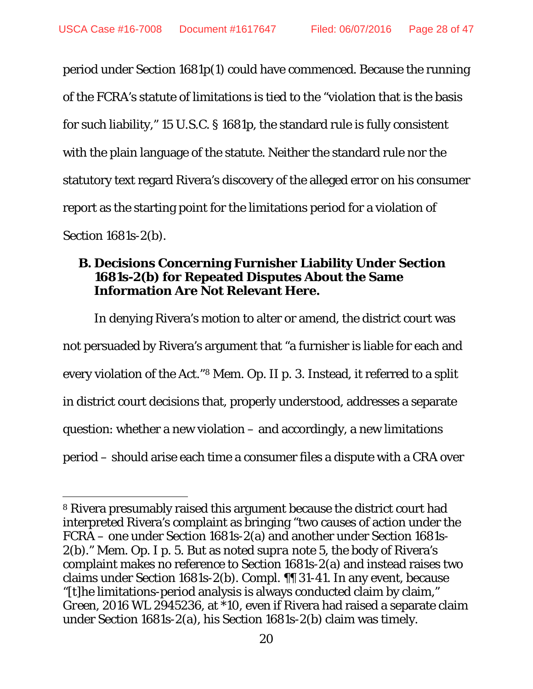period under Section 1681p(1) could have commenced. Because the running of the FCRA's statute of limitations is tied to the "violation that is the basis for such liability," 15 U.S.C. § 1681p, the standard rule is fully consistent with the plain language of the statute. Neither the standard rule nor the statutory text regard Rivera's discovery of the alleged error on his consumer report as the starting point for the limitations period for a violation of Section 1681s-2(b).

# <span id="page-27-0"></span>**B. Decisions Concerning Furnisher Liability Under Section 1681s-2(b) for Repeated Disputes About the Same Information Are Not Relevant Here.**

In denying Rivera's motion to alter or amend, the district court was not persuaded by Rivera's argument that "a furnisher is liable for each and every violation of the Act."[8](#page-27-1) Mem. Op. II p. 3. Instead, it referred to a split in district court decisions that, properly understood, addresses a separate question: whether a new violation – and accordingly, a new limitations period – should arise each time a consumer files a dispute with a CRA over

 $\overline{a}$ 

<span id="page-27-1"></span><sup>8</sup> Rivera presumably raised this argument because the district court had interpreted Rivera's complaint as bringing "two causes of action under the FCRA – one under Section 1681s-2(a) and another under Section 1681s-2(b)." Mem. Op. I p. 5. But as noted *supra* note 5, the body of Rivera's complaint makes no reference to Section 1681s-2(a) and instead raises two claims under Section 1681s-2(b). Compl. ¶¶ 31-41. In any event, because "[t]he limitations-period analysis is always conducted claim by claim," *Green*, 2016 WL 2945236, at \*10, even if Rivera had raised a separate claim under Section 1681s-2(a), his Section 1681s-2(b) claim was timely.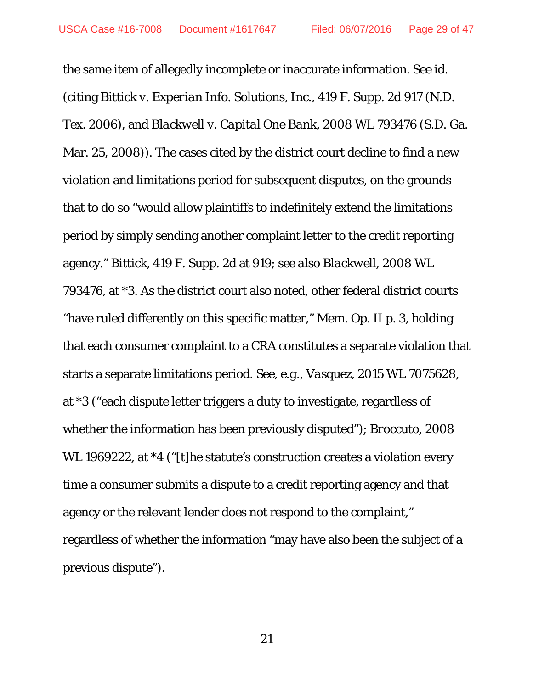the same item of allegedly incomplete or inaccurate information. *See id.* (citing *Bittick v. Experian Info. Solutions, Inc.*, 419 F. Supp. 2d 917 (N.D. Tex. 2006), and *Blackwell v. Capital One Bank*, 2008 WL 793476 (S.D. Ga. Mar. 25, 2008)). The cases cited by the district court decline to find a new violation and limitations period for subsequent disputes, on the grounds that to do so "would allow plaintiffs to indefinitely extend the limitations period by simply sending another complaint letter to the credit reporting agency." *Bittick*, 419 F. Supp. 2d at 919; *see also Blackwell*, 2008 WL 793476, at \*3. As the district court also noted, other federal district courts "have ruled differently on this specific matter," Mem. Op. II p. 3, holding that each consumer complaint to a CRA constitutes a separate violation that starts a separate limitations period. *See*, *e.g.*, *Vasquez*, 2015 WL 7075628, at \*3 ("each dispute letter triggers a duty to investigate, regardless of whether the information has been previously disputed"); *Broccuto*, 2008 WL 1969222, at \*4 ("[t]he statute's construction creates a violation every time a consumer submits a dispute to a credit reporting agency and that agency or the relevant lender does not respond to the complaint," regardless of whether the information "may have also been the subject of a previous dispute").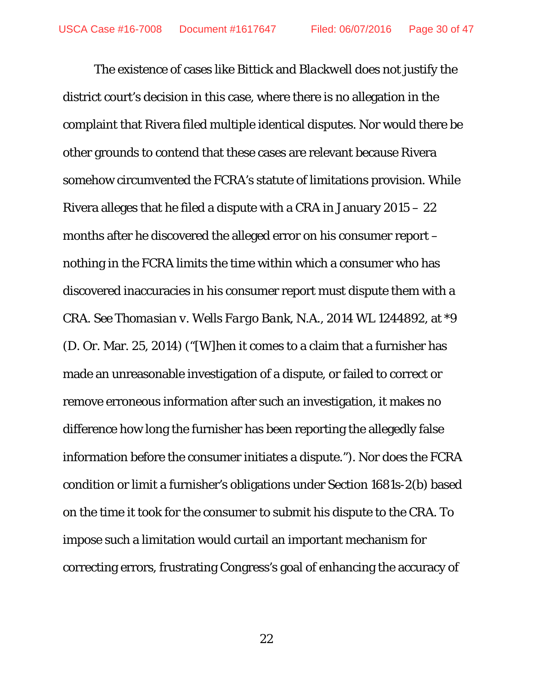The existence of cases like *Bittick* and *Blackwell* does not justify the district court's decision in this case, where there is no allegation in the complaint that Rivera filed multiple identical disputes. Nor would there be other grounds to contend that these cases are relevant because Rivera somehow circumvented the FCRA's statute of limitations provision. While Rivera alleges that he filed a dispute with a CRA in January 2015 – 22 months after he discovered the alleged error on his consumer report – nothing in the FCRA limits the time within which a consumer who has discovered inaccuracies in his consumer report must dispute them with a CRA. *See Thomasian v. Wells Fargo Bank, N.A.*, 2014 WL 1244892, at \*9 (D. Or. Mar. 25, 2014) ("[W]hen it comes to a claim that a furnisher has made an unreasonable investigation of a dispute, or failed to correct or remove erroneous information after such an investigation, it makes no difference how long the furnisher has been reporting the allegedly false information before the consumer initiates a dispute."). Nor does the FCRA condition or limit a furnisher's obligations under Section 1681s-2(b) based on the time it took for the consumer to submit his dispute to the CRA. To impose such a limitation would curtail an important mechanism for correcting errors, frustrating Congress's goal of enhancing the accuracy of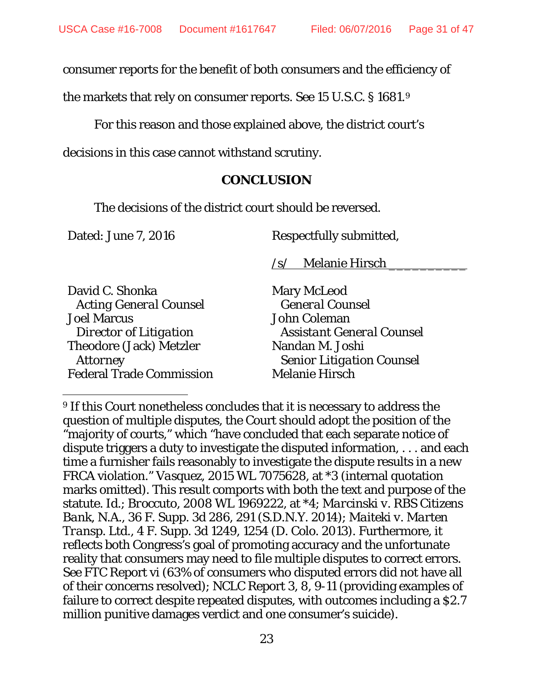consumer reports for the benefit of both consumers and the efficiency of

the markets that rely on consumer reports. *See* 15 U.S.C. § 1681.[9](#page-30-1)

For this reason and those explained above, the district court's

<span id="page-30-0"></span>decisions in this case cannot withstand scrutiny.

# **CONCLUSION**

The decisions of the district court should be reversed.

Dated: June 7, 2016

 $\overline{a}$ 

Respectfully submitted,

/s/ Melanie Hirsch \_\_\_\_\_\_\_\_\_\_

David C. Shonka  *Acting General Counsel* Joel Marcus  *Director of Litigation* Theodore (Jack) Metzler *Attorney* Federal Trade Commission

Mary McLeod  *General Counsel* John Coleman  *Assistant General Counsel* Nandan M. Joshi *Senior Litigation Counsel* Melanie Hirsch

<span id="page-30-1"></span><sup>9</sup> If this Court nonetheless concludes that it is necessary to address the question of multiple disputes, the Court should adopt the position of the "majority of courts," which "have concluded that each separate notice of dispute triggers a duty to investigate the disputed information, . . . and each time a furnisher fails reasonably to investigate the dispute results in a new FRCA violation." *Vasquez*, 2015 WL 7075628, at \*3 (internal quotation marks omitted). This result comports with both the text and purpose of the statute. *Id.*; *Broccuto*, 2008 WL 1969222, at \*4; *Marcinski v. RBS Citizens Bank, N.A.*, 36 F. Supp. 3d 286, 291 (S.D.N.Y. 2014); *Maiteki v. Marten Transp. Ltd.*, 4 F. Supp. 3d 1249, 1254 (D. Colo. 2013). Furthermore, it reflects both Congress's goal of promoting accuracy and the unfortunate reality that consumers may need to file multiple disputes to correct errors. *See* FTC Report vi (63% of consumers who disputed errors did not have all of their concerns resolved); NCLC Report 3, 8, 9-11 (providing examples of failure to correct despite repeated disputes, with outcomes including a \$2.7 million punitive damages verdict and one consumer's suicide).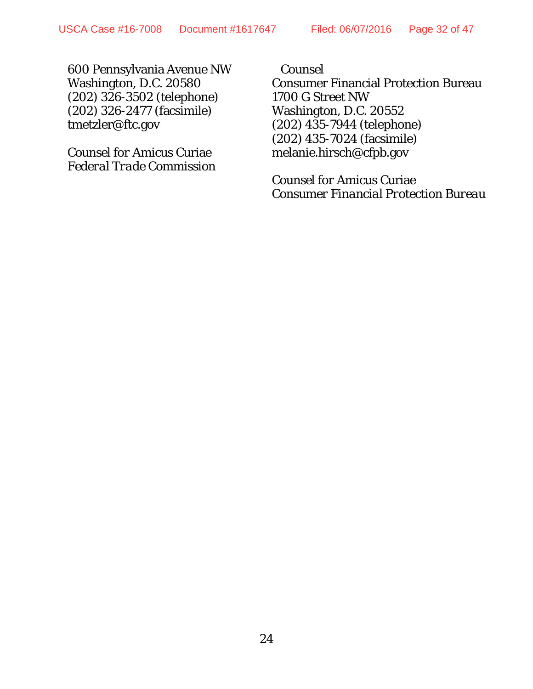600 Pennsylvania Avenue NW Washington, D.C. 20580 (202) 326-3502 (telephone) (202) 326-2477 (facsimile) tmetzler@ftc.gov

*Counsel for* Amicus Curiae *Federal Trade Commission* *Counsel*

Consumer Financial Protection Bureau 1700 G Street NW Washington, D.C. 20552 (202) 435-7944 (telephone) (202) 435-7024 (facsimile) melanie.hirsch@cfpb.gov

*Counsel for* Amicus Curiae *Consumer Financial Protection Bureau*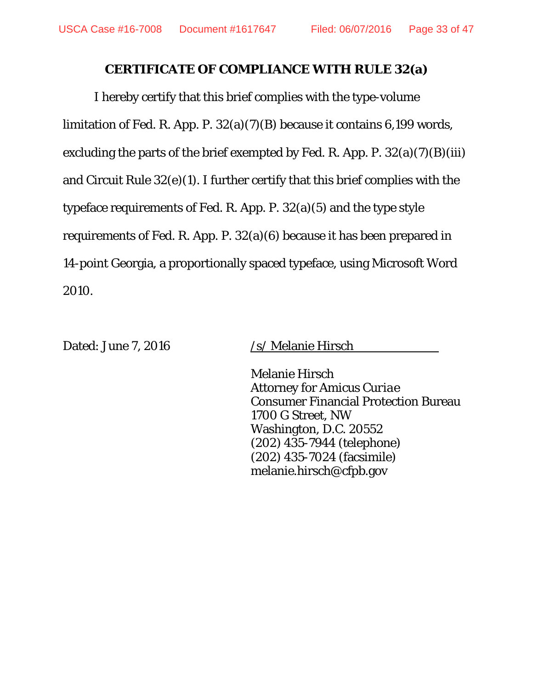# **CERTIFICATE OF COMPLIANCE WITH RULE 32(a)**

<span id="page-32-0"></span>I hereby certify that this brief complies with the type-volume limitation of Fed. R. App. P. 32(a)(7)(B) because it contains 6,199 words, excluding the parts of the brief exempted by Fed. R. App. P.  $32(a)(7)(B)(iii)$ and Circuit Rule 32(e)(1). I further certify that this brief complies with the typeface requirements of Fed. R. App. P. 32(a)(5) and the type style requirements of Fed. R. App. P. 32(a)(6) because it has been prepared in 14-point Georgia, a proportionally spaced typeface, using Microsoft Word 2010.

Dated: June 7, 2016 /s/ Melanie Hirsch

Melanie Hirsch Attorney for *Amicus Curiae* Consumer Financial Protection Bureau 1700 G Street, NW Washington, D.C. 20552 (202) 435-7944 (telephone) (202) 435-7024 (facsimile) melanie.hirsch@cfpb.gov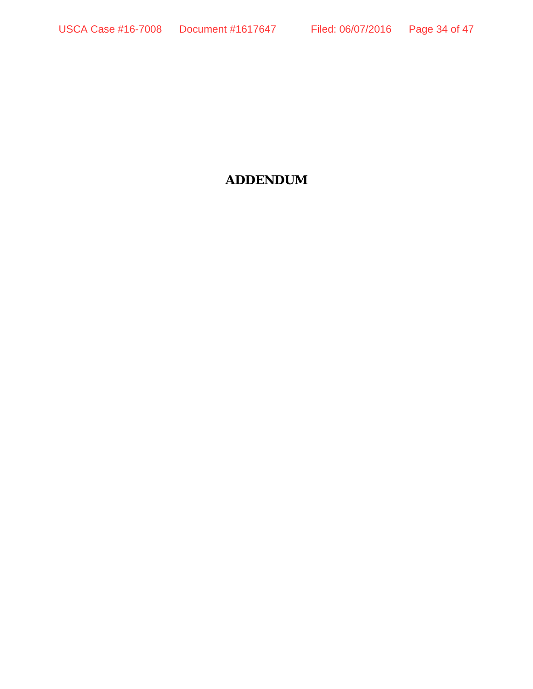# <span id="page-33-0"></span>**ADDENDUM**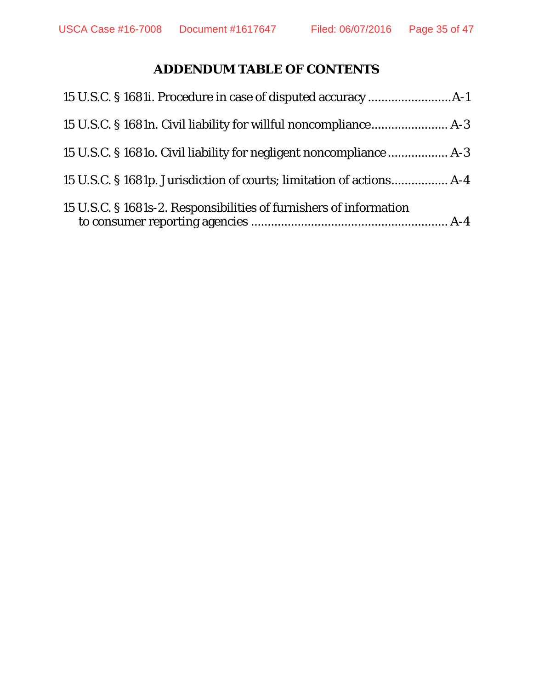# **ADDENDUM TABLE OF CONTENTS**

| 15 U.S.C. § 16810. Civil liability for negligent noncompliance  A-3 |  |
|---------------------------------------------------------------------|--|
|                                                                     |  |
| 15 U.S.C. § 1681s-2. Responsibilities of furnishers of information  |  |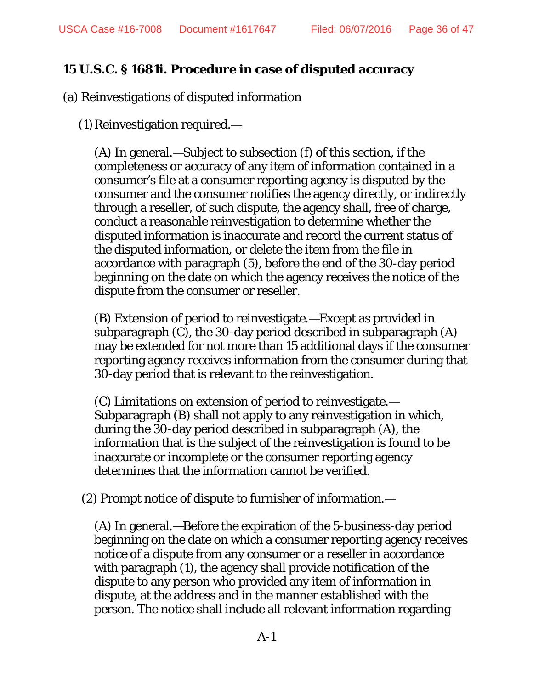# **15 U.S.C. § 1681i. Procedure in case of disputed accuracy**

(a) Reinvestigations of disputed information

(1)Reinvestigation required.—

(A) In general.—Subject to subsection (f) of this section, if the completeness or accuracy of any item of information contained in a consumer's file at a consumer reporting agency is disputed by the consumer and the consumer notifies the agency directly, or indirectly through a reseller, of such dispute, the agency shall, free of charge, conduct a reasonable reinvestigation to determine whether the disputed information is inaccurate and record the current status of the disputed information, or delete the item from the file in accordance with paragraph (5), before the end of the 30-day period beginning on the date on which the agency receives the notice of the dispute from the consumer or reseller.

(B) Extension of period to reinvestigate.—Except as provided in subparagraph (C), the 30-day period described in subparagraph (A) may be extended for not more than 15 additional days if the consumer reporting agency receives information from the consumer during that 30-day period that is relevant to the reinvestigation.

(C) Limitations on extension of period to reinvestigate.— Subparagraph (B) shall not apply to any reinvestigation in which, during the 30-day period described in subparagraph (A), the information that is the subject of the reinvestigation is found to be inaccurate or incomplete or the consumer reporting agency determines that the information cannot be verified.

(2) Prompt notice of dispute to furnisher of information.—

(A) In general.—Before the expiration of the 5-business-day period beginning on the date on which a consumer reporting agency receives notice of a dispute from any consumer or a reseller in accordance with paragraph (1), the agency shall provide notification of the dispute to any person who provided any item of information in dispute, at the address and in the manner established with the person. The notice shall include all relevant information regarding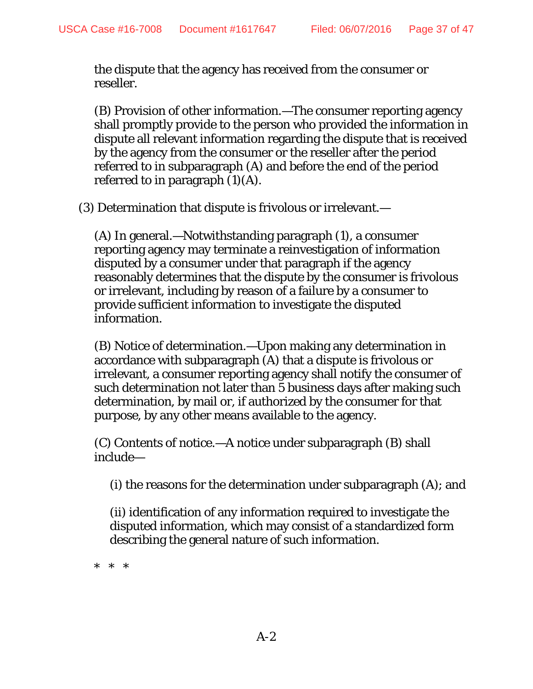the dispute that the agency has received from the consumer or reseller.

(B) Provision of other information.—The consumer reporting agency shall promptly provide to the person who provided the information in dispute all relevant information regarding the dispute that is received by the agency from the consumer or the reseller after the period referred to in subparagraph (A) and before the end of the period referred to in paragraph  $(1)(A)$ .

(3) Determination that dispute is frivolous or irrelevant.—

(A) In general.—Notwithstanding paragraph (1), a consumer reporting agency may terminate a reinvestigation of information disputed by a consumer under that paragraph if the agency reasonably determines that the dispute by the consumer is frivolous or irrelevant, including by reason of a failure by a consumer to provide sufficient information to investigate the disputed information.

(B) Notice of determination.—Upon making any determination in accordance with subparagraph (A) that a dispute is frivolous or irrelevant, a consumer reporting agency shall notify the consumer of such determination not later than 5 business days after making such determination, by mail or, if authorized by the consumer for that purpose, by any other means available to the agency.

(C) Contents of notice.—A notice under subparagraph (B) shall include—

(i) the reasons for the determination under subparagraph (A); and

(ii) identification of any information required to investigate the disputed information, which may consist of a standardized form describing the general nature of such information.

\* \* \*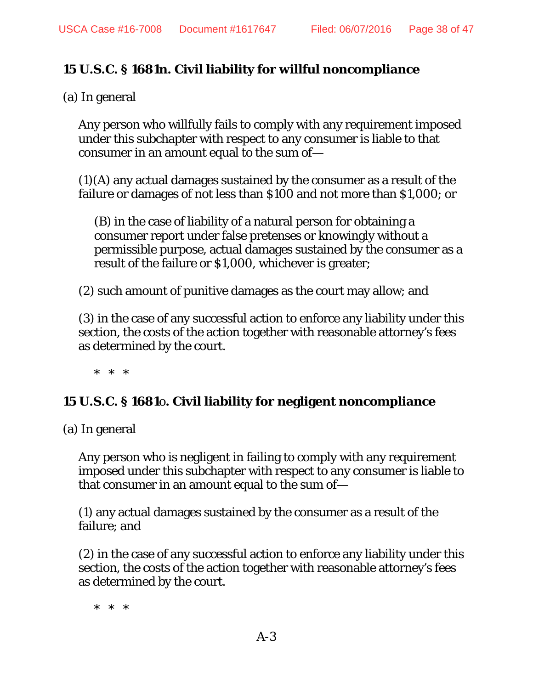# **15 U.S.C. § 1681n. Civil liability for willful noncompliance**

# (a) In general

Any person who willfully fails to comply with any requirement imposed under this subchapter with respect to any consumer is liable to that consumer in an amount equal to the sum of—

(1)(A) any actual damages sustained by the consumer as a result of the failure or damages of not less than \$100 and not more than \$1,000; or

(B) in the case of liability of a natural person for obtaining a consumer report under false pretenses or knowingly without a permissible purpose, actual damages sustained by the consumer as a result of the failure or \$1,000, whichever is greater;

(2) such amount of punitive damages as the court may allow; and

(3) in the case of any successful action to enforce any liability under this section, the costs of the action together with reasonable attorney's fees as determined by the court.

\* \* \*

# **15 U.S.C. § 1681***o***. Civil liability for negligent noncompliance**

(a) In general

Any person who is negligent in failing to comply with any requirement imposed under this subchapter with respect to any consumer is liable to that consumer in an amount equal to the sum of—

(1) any actual damages sustained by the consumer as a result of the failure; and

(2) in the case of any successful action to enforce any liability under this section, the costs of the action together with reasonable attorney's fees as determined by the court.

\* \* \*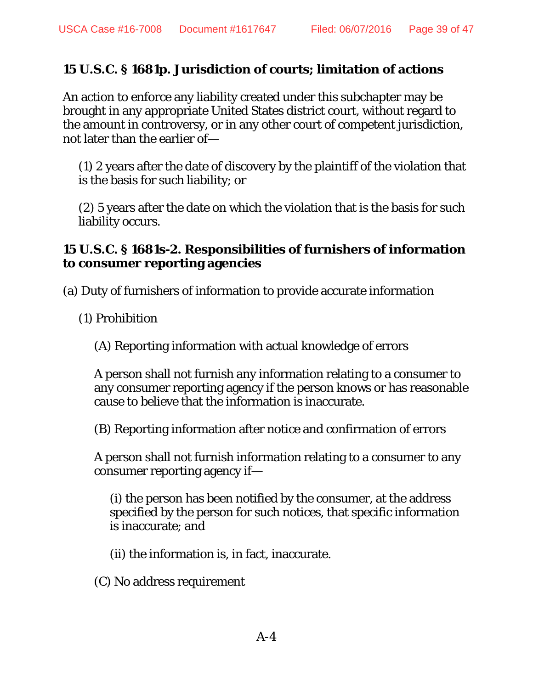# **15 U.S.C. § 1681p. Jurisdiction of courts; limitation of actions**

An action to enforce any liability created under this subchapter may be brought in any appropriate United States district court, without regard to the amount in controversy, or in any other court of competent jurisdiction, not later than the earlier of—

(1) 2 years after the date of discovery by the plaintiff of the violation that is the basis for such liability; or

(2) 5 years after the date on which the violation that is the basis for such liability occurs.

# **15 U.S.C. § 1681s-2. Responsibilities of furnishers of information to consumer reporting agencies**

(a) Duty of furnishers of information to provide accurate information

(1) Prohibition

(A) Reporting information with actual knowledge of errors

A person shall not furnish any information relating to a consumer to any consumer reporting agency if the person knows or has reasonable cause to believe that the information is inaccurate.

(B) Reporting information after notice and confirmation of errors

A person shall not furnish information relating to a consumer to any consumer reporting agency if—

(i) the person has been notified by the consumer, at the address specified by the person for such notices, that specific information is inaccurate; and

(ii) the information is, in fact, inaccurate.

(C) No address requirement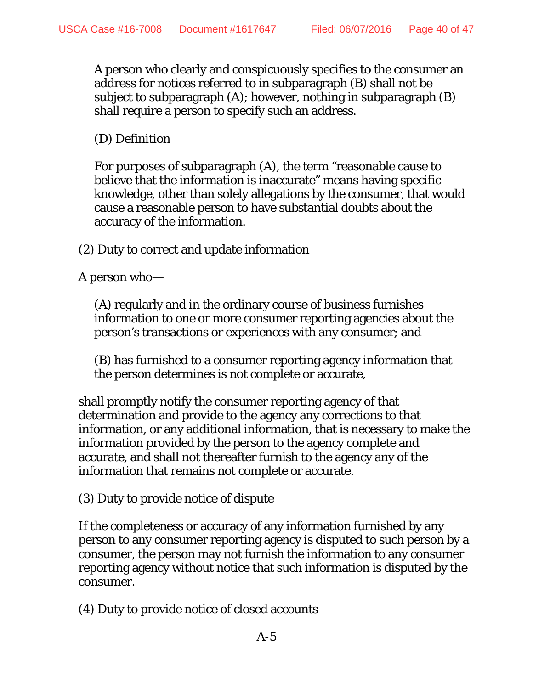A person who clearly and conspicuously specifies to the consumer an address for notices referred to in subparagraph (B) shall not be subject to subparagraph (A); however, nothing in subparagraph (B) shall require a person to specify such an address.

(D) Definition

For purposes of subparagraph (A), the term "reasonable cause to believe that the information is inaccurate" means having specific knowledge, other than solely allegations by the consumer, that would cause a reasonable person to have substantial doubts about the accuracy of the information.

(2) Duty to correct and update information

A person who—

(A) regularly and in the ordinary course of business furnishes information to one or more consumer reporting agencies about the person's transactions or experiences with any consumer; and

(B) has furnished to a consumer reporting agency information that the person determines is not complete or accurate,

shall promptly notify the consumer reporting agency of that determination and provide to the agency any corrections to that information, or any additional information, that is necessary to make the information provided by the person to the agency complete and accurate, and shall not thereafter furnish to the agency any of the information that remains not complete or accurate.

(3) Duty to provide notice of dispute

If the completeness or accuracy of any information furnished by any person to any consumer reporting agency is disputed to such person by a consumer, the person may not furnish the information to any consumer reporting agency without notice that such information is disputed by the consumer.

(4) Duty to provide notice of closed accounts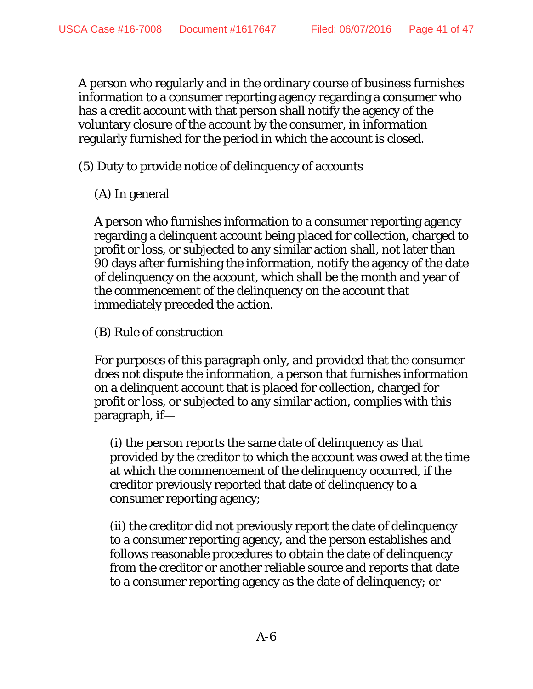A person who regularly and in the ordinary course of business furnishes information to a consumer reporting agency regarding a consumer who has a credit account with that person shall notify the agency of the voluntary closure of the account by the consumer, in information regularly furnished for the period in which the account is closed.

## (5) Duty to provide notice of delinquency of accounts

(A) In general

A person who furnishes information to a consumer reporting agency regarding a delinquent account being placed for collection, charged to profit or loss, or subjected to any similar action shall, not later than 90 days after furnishing the information, notify the agency of the date of delinquency on the account, which shall be the month and year of the commencement of the delinquency on the account that immediately preceded the action.

(B) Rule of construction

For purposes of this paragraph only, and provided that the consumer does not dispute the information, a person that furnishes information on a delinquent account that is placed for collection, charged for profit or loss, or subjected to any similar action, complies with this paragraph, if—

(i) the person reports the same date of delinquency as that provided by the creditor to which the account was owed at the time at which the commencement of the delinquency occurred, if the creditor previously reported that date of delinquency to a consumer reporting agency;

(ii) the creditor did not previously report the date of delinquency to a consumer reporting agency, and the person establishes and follows reasonable procedures to obtain the date of delinquency from the creditor or another reliable source and reports that date to a consumer reporting agency as the date of delinquency; or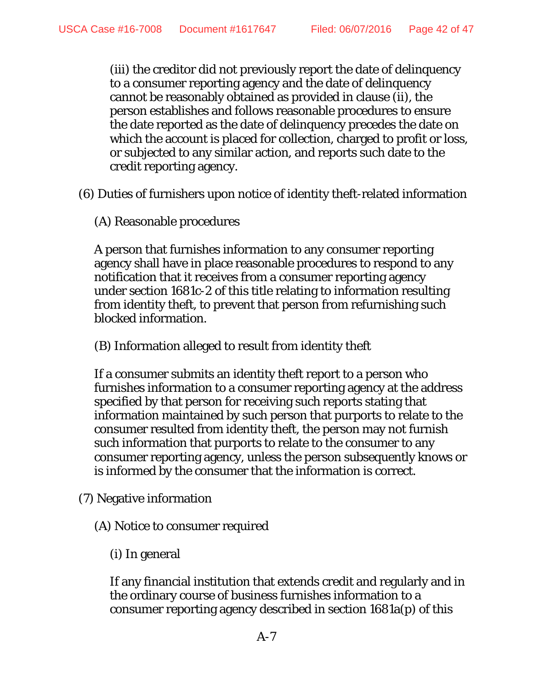(iii) the creditor did not previously report the date of delinquency to a consumer reporting agency and the date of delinquency cannot be reasonably obtained as provided in clause (ii), the person establishes and follows reasonable procedures to ensure the date reported as the date of delinquency precedes the date on which the account is placed for collection, charged to profit or loss, or subjected to any similar action, and reports such date to the credit reporting agency.

(6) Duties of furnishers upon notice of identity theft-related information

(A) Reasonable procedures

A person that furnishes information to any consumer reporting agency shall have in place reasonable procedures to respond to any notification that it receives from a consumer reporting agency under section 1681c-2 of this title relating to information resulting from identity theft, to prevent that person from refurnishing such blocked information.

(B) Information alleged to result from identity theft

If a consumer submits an identity theft report to a person who furnishes information to a consumer reporting agency at the address specified by that person for receiving such reports stating that information maintained by such person that purports to relate to the consumer resulted from identity theft, the person may not furnish such information that purports to relate to the consumer to any consumer reporting agency, unless the person subsequently knows or is informed by the consumer that the information is correct.

(7) Negative information

(A) Notice to consumer required

(i) In general

If any financial institution that extends credit and regularly and in the ordinary course of business furnishes information to a consumer reporting agency described in section 1681a(p) of this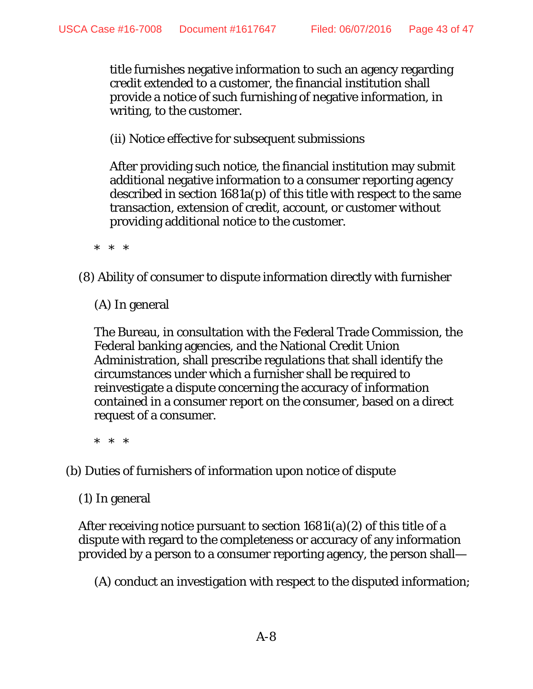title furnishes negative information to such an agency regarding credit extended to a customer, the financial institution shall provide a notice of such furnishing of negative information, in writing, to the customer.

(ii) Notice effective for subsequent submissions

After providing such notice, the financial institution may submit additional negative information to a consumer reporting agency described in [section 1681a\(p\)](https://1.next.westlaw.com/Link/Document/FullText?findType=L&pubNum=1000546&cite=15USCAS1681A&originatingDoc=NEFC1AAC03BE211E1BDE18D09F4C9FE75&refType=RB&originationContext=document&transitionType=DocumentItem&contextData=(sc.UserEnteredCitation)#co_pp_2c830000eaaf5) of this title with respect to the same transaction, extension of credit, account, or customer without providing additional notice to the customer.

\* \* \*

(8) Ability of consumer to dispute information directly with furnisher

(A) In general

The Bureau, in consultation with the Federal Trade Commission, the Federal banking agencies, and the National Credit Union Administration, shall prescribe regulations that shall identify the circumstances under which a furnisher shall be required to reinvestigate a dispute concerning the accuracy of information contained in a consumer report on the consumer, based on a direct request of a consumer.

\* \* \*

(b) Duties of furnishers of information upon notice of dispute

(1) In general

After receiving notice pursuant to [section 1681i\(a\)\(2\)](https://1.next.westlaw.com/Link/Document/FullText?findType=L&pubNum=1000546&cite=15USCAS1681I&originatingDoc=NEFC1AAC03BE211E1BDE18D09F4C9FE75&refType=RB&originationContext=document&transitionType=DocumentItem&contextData=(sc.UserEnteredCitation)#co_pp_d86d0000be040) of this title of a dispute with regard to the completeness or accuracy of any information provided by a person to a consumer reporting agency, the person shall—

(A) conduct an investigation with respect to the disputed information;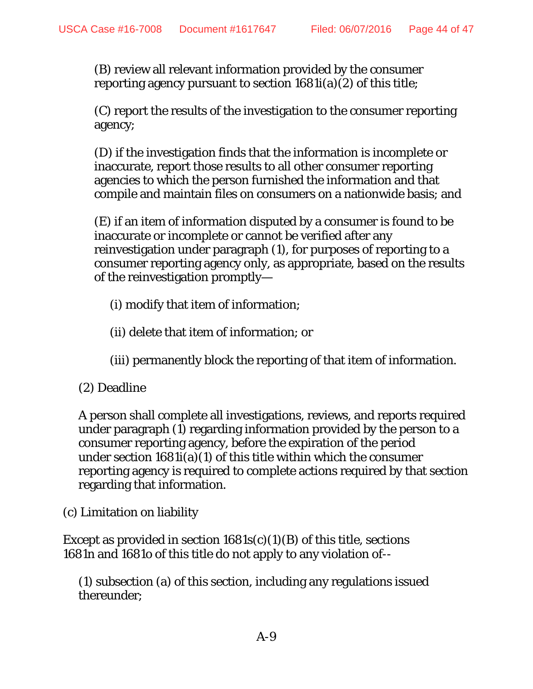(B) review all relevant information provided by the consumer reporting agency pursuant to [section 1681i\(a\)\(2\)](https://1.next.westlaw.com/Link/Document/FullText?findType=L&pubNum=1000546&cite=15USCAS1681I&originatingDoc=NEFC1AAC03BE211E1BDE18D09F4C9FE75&refType=RB&originationContext=document&transitionType=DocumentItem&contextData=(sc.UserEnteredCitation)#co_pp_d86d0000be040) of this title;

(C) report the results of the investigation to the consumer reporting agency;

(D) if the investigation finds that the information is incomplete or inaccurate, report those results to all other consumer reporting agencies to which the person furnished the information and that compile and maintain files on consumers on a nationwide basis; and

(E) if an item of information disputed by a consumer is found to be inaccurate or incomplete or cannot be verified after any reinvestigation under paragraph (1), for purposes of reporting to a consumer reporting agency only, as appropriate, based on the results of the reinvestigation promptly—

- (i) modify that item of information;
- (ii) delete that item of information; or
- (iii) permanently block the reporting of that item of information.
- (2) Deadline

A person shall complete all investigations, reviews, and reports required under paragraph (1) regarding information provided by the person to a consumer reporting agency, before the expiration of the period under [section 1681i\(a\)\(1\)](https://1.next.westlaw.com/Link/Document/FullText?findType=L&pubNum=1000546&cite=15USCAS1681I&originatingDoc=NEFC1AAC03BE211E1BDE18D09F4C9FE75&refType=RB&originationContext=document&transitionType=DocumentItem&contextData=(sc.UserEnteredCitation)#co_pp_7b9b000044381) of this title within which the consumer reporting agency is required to complete actions required by that section regarding that information.

(c) Limitation on liability

Except as provided in section  $1681s(c)(1)(B)$  of this title, sections 1681n and 1681*o* of this title do not apply to any violation of--

(1) subsection (a) of this section, including any regulations issued thereunder;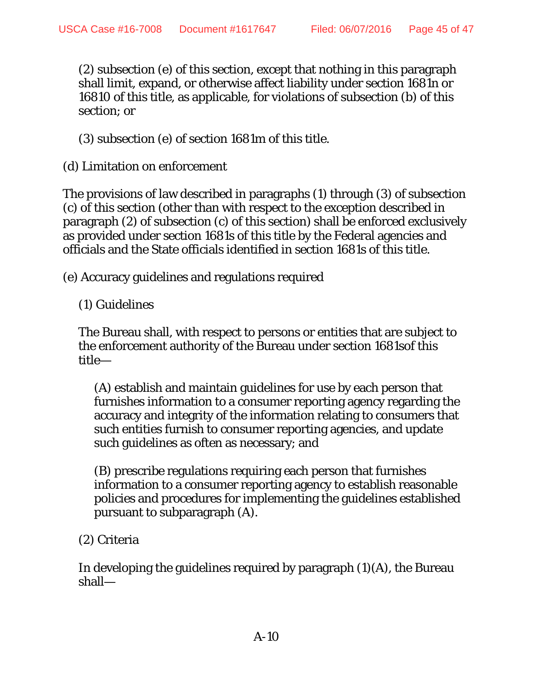(2) subsection (e) of this section, except that nothing in this paragraph shall limit, expand, or otherwise affect liability under [section 1681n](https://1.next.westlaw.com/Link/Document/FullText?findType=L&pubNum=1000546&cite=15USCAS1681N&originatingDoc=NEFC1AAC03BE211E1BDE18D09F4C9FE75&refType=LQ&originationContext=document&transitionType=DocumentItem&contextData=(sc.UserEnteredCitation)) or 16810 of this title, as applicable, for violations of subsection (b) of this section; or

(3) subsection (e) of section 1681m of this title.

(d) Limitation on enforcement

The provisions of law described in paragraphs (1) through (3) of subsection (c) of this section (other than with respect to the exception described in paragraph (2) of subsection (c) of this section) shall be enforced exclusively as provided under [section 1681s](https://1.next.westlaw.com/Link/Document/FullText?findType=L&pubNum=1000546&cite=15USCAS1681S&originatingDoc=NEFC1AAC03BE211E1BDE18D09F4C9FE75&refType=LQ&originationContext=document&transitionType=DocumentItem&contextData=(sc.UserEnteredCitation)) of this title by the Federal agencies and officials and the State officials identified in [section 1681s](https://1.next.westlaw.com/Link/Document/FullText?findType=L&pubNum=1000546&cite=15USCAS1681S&originatingDoc=NEFC1AAC03BE211E1BDE18D09F4C9FE75&refType=LQ&originationContext=document&transitionType=DocumentItem&contextData=(sc.UserEnteredCitation)) of this title.

(e) Accuracy guidelines and regulations required

(1) Guidelines

The Bureau shall, with respect to persons or entities that are subject to the enforcement authority of the Bureau under section 1681sof this title—

(A) establish and maintain guidelines for use by each person that furnishes information to a consumer reporting agency regarding the accuracy and integrity of the information relating to consumers that such entities furnish to consumer reporting agencies, and update such guidelines as often as necessary; and

(B) prescribe regulations requiring each person that furnishes information to a consumer reporting agency to establish reasonable policies and procedures for implementing the guidelines established pursuant to subparagraph (A).

(2) Criteria

In developing the guidelines required by paragraph (1)(A), the Bureau shall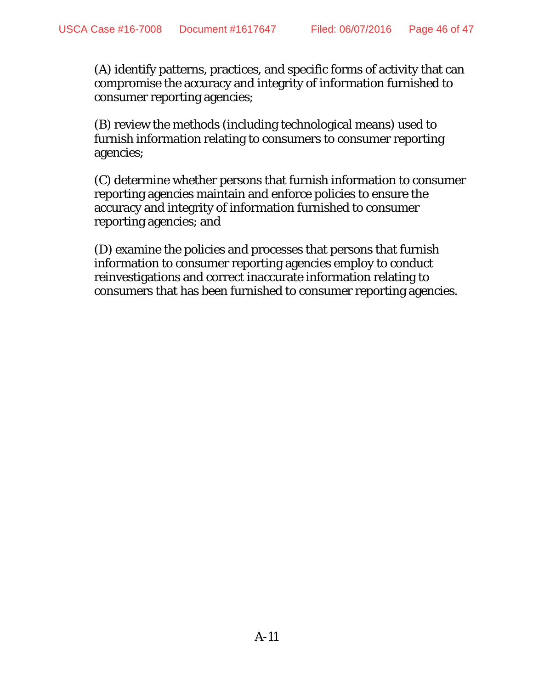(A) identify patterns, practices, and specific forms of activity that can compromise the accuracy and integrity of information furnished to consumer reporting agencies;

(B) review the methods (including technological means) used to furnish information relating to consumers to consumer reporting agencies;

(C) determine whether persons that furnish information to consumer reporting agencies maintain and enforce policies to ensure the accuracy and integrity of information furnished to consumer reporting agencies; and

(D) examine the policies and processes that persons that furnish information to consumer reporting agencies employ to conduct reinvestigations and correct inaccurate information relating to consumers that has been furnished to consumer reporting agencies.